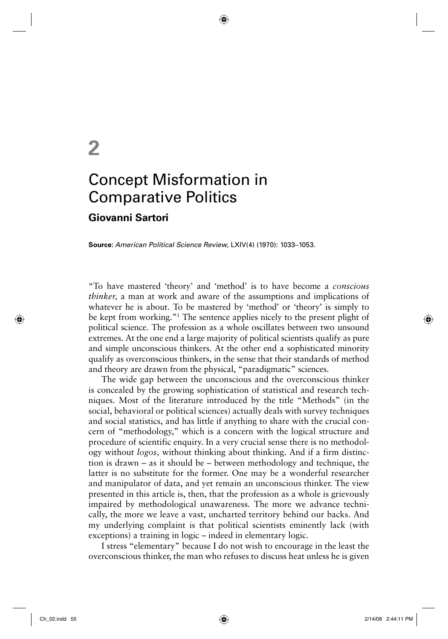# **2**

# Concept Misformation in Comparative Politics **Giovanni Sartori**

**Source:** *American Political Science Review,* LXIV(4) (1970): 1033–1053.

⊕

"To have mastered 'theory' and 'method' is to have become a *conscious thinker,* a man at work and aware of the assumptions and implications of whatever he is about. To be mastered by 'method' or 'theory' is simply to be kept from working."<sup>1</sup> The sentence applies nicely to the present plight of political science. The profession as a whole oscillates between two unsound extremes. At the one end a large majority of political scientists qualify as pure and simple unconscious thinkers. At the other end a sophisticated minority qualify as overconscious thinkers, in the sense that their standards of method and theory are drawn from the physical, "paradigmatic" sciences.

The wide gap between the unconscious and the overconscious thinker is concealed by the growing sophistication of statistical and research techniques. Most of the literature introduced by the title "Methods" (in the social, behavioral or political sciences) actually deals with survey techniques and social statistics, and has little if anything to share with the crucial concern of "methodology," which is a concern with the logical structure and procedure of scientific enquiry. In a very crucial sense there is no methodology without *logos,* without thinking about thinking. And if a firm distinction is drawn – as it should be – between methodology and technique, the latter is no substitute for the former. One may be a wonderful researcher and manipulator of data, and yet remain an unconscious thinker. The view presented in this article is, then, that the profession as a whole is grievously impaired by methodological unawareness. The more we advance technically, the more we leave a vast, uncharted territory behind our backs. And my underlying complaint is that political scientists eminently lack (with exceptions) a training in logic – indeed in elementary logic.

I stress "elementary" because I do not wish to encourage in the least the overconscious thinker, the man who refuses to discuss heat unless he is given

↔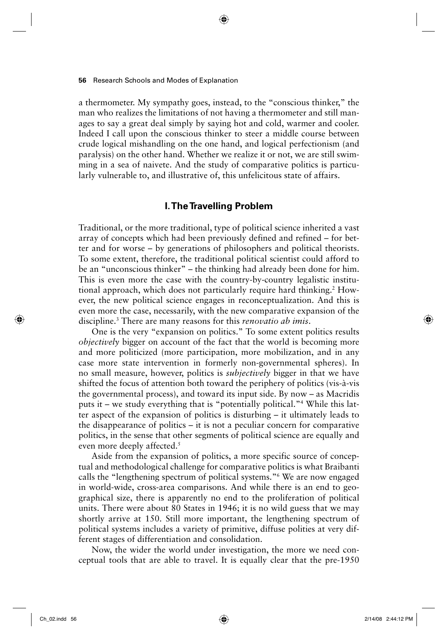a thermometer. My sympathy goes, instead, to the "conscious thinker," the man who realizes the limitations of not having a thermometer and still manages to say a great deal simply by saying hot and cold, warmer and cooler. Indeed I call upon the conscious thinker to steer a middle course between crude logical mishandling on the one hand, and logical perfectionism (and paralysis) on the other hand. Whether we realize it or not, we are still swimming in a sea of naivete. And the study of comparative politics is particularly vulnerable to, and illustrative of, this unfelicitous state of affairs.

↔

# **I. The Travelling Problem**

Traditional, or the more traditional, type of political science inherited a vast array of concepts which had been previously defined and refined – for better and for worse – by generations of philosophers and political theorists. To some extent, therefore, the traditional political scientist could afford to be an "unconscious thinker" – the thinking had already been done for him. This is even more the case with the country-by-country legalistic institutional approach, which does not particularly require hard thinking.<sup>2</sup> However, the new political science engages in reconceptualization. And this is even more the case, necessarily, with the new comparative expansion of the discipline. 3 There are many reasons for this *renovatio ab imis.*

One is the very "expansion on politics." To some extent politics results *objectively* bigger on account of the fact that the world is becoming more and more politicized (more participation, more mobilization, and in any case more state intervention in formerly non-governmental spheres). In no small measure, however, politics is *subjectively* bigger in that we have shifted the focus of attention both toward the periphery of politics (vis-à-vis the governmental process), and toward its input side. By now – as Macridis puts it – we study everything that is "potentially political."<sup>4</sup> While this latter aspect of the expansion of politics is disturbing – it ultimately leads to the disappearance of politics – it is not a peculiar concern for comparative politics, in the sense that other segments of political science are equally and even more deeply affected.<sup>5</sup>

Aside from the expansion of politics, a more specific source of conceptual and methodological challenge for comparative politics is what Braibanti calls the "lengthening spectrum of political systems." 6 We are now engaged in world-wide, cross-area comparisons. And while there is an end to geographical size, there is apparently no end to the proliferation of political units. There were about 80 States in 1946; it is no wild guess that we may shortly arrive at 150. Still more important, the lengthening spectrum of political systems includes a variety of primitive, diffuse polities at very different stages of differentiation and consolidation.

Now, the wider the world under investigation, the more we need conceptual tools that are able to travel. It is equally clear that the pre-1950

↔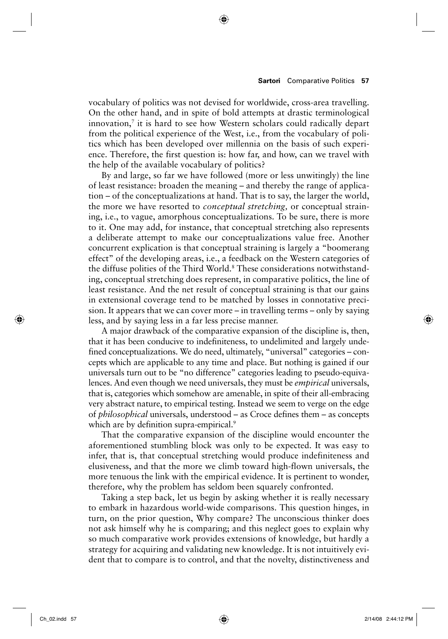#### **Sartori** Comparative Politics **57**

vocabulary of politics was not devised for worldwide, cross-area travelling. On the other hand, and in spite of bold attempts at drastic terminological innovation, $\bar{z}$  it is hard to see how Western scholars could radically depart from the political experience of the West, i.e., from the vocabulary of politics which has been developed over millennia on the basis of such experience. Therefore, the first question is: how far, and how, can we travel with the help of the available vocabulary of politics?

⊕

By and large, so far we have followed (more or less unwitingly) the line of least resistance: broaden the meaning – and thereby the range of application – of the conceptualizations at hand. That is to say, the larger the world, the more we have resorted to *conceptual stretching,* or conceptual straining, i.e., to vague, amorphous conceptualizations. To be sure, there is more to it. One may add, for instance, that conceptual stretching also represents a deliberate attempt to make our conceptualizations value free. Another concurrent explication is that conceptual straining is largely a "boomerang effect" of the developing areas, i.e., a feedback on the Western categories of the diffuse polities of the Third World. 8 These considerations notwithstanding, conceptual stretching does represent, in comparative politics, the line of least resistance. And the net result of conceptual straining is that our gains in extensional coverage tend to be matched by losses in connotative precision. It appears that we can cover more – in travelling terms – only by saying less, and by saying less in a far less precise manner.

A major drawback of the comparative expansion of the discipline is, then, that it has been conducive to indefiniteness, to undelimited and largely undefined conceptualizations. We do need, ultimately, "universal" categories – concepts which are applicable to any time and place. But nothing is gained if our universals turn out to be "no difference" categories leading to pseudo-equivalences. And even though we need universals, they must be *empirical* universals, that is, categories which somehow are amenable, in spite of their all-embracing very abstract nature, to empirical testing. Instead we seem to verge on the edge of *philosophical* universals, understood – as Croce defines them – as concepts which are by definition supra-empirical.<sup>9</sup>

That the comparative expansion of the discipline would encounter the aforementioned stumbling block was only to be expected. It was easy to infer, that is, that conceptual stretching would produce indefiniteness and elusiveness, and that the more we climb toward high-flown universals, the more tenuous the link with the empirical evidence. It is pertinent to wonder, therefore, why the problem has seldom been squarely confronted.

Taking a step back, let us begin by asking whether it is really necessary to embark in hazardous world-wide comparisons. This question hinges, in turn, on the prior question, Why compare? The unconscious thinker does not ask himself why he is comparing; and this neglect goes to explain why so much comparative work provides extensions of knowledge, but hardly a strategy for acquiring and validating new knowledge. It is not intuitively evident that to compare is to control, and that the novelty, distinctiveness and

↔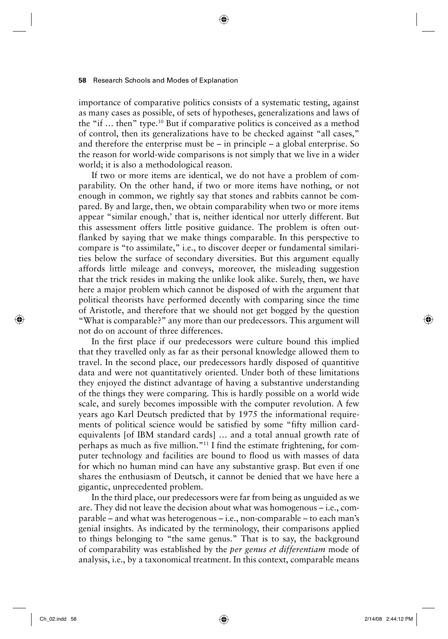importance of comparative politics consists of a systematic testing, against as many cases as possible, of sets of hypotheses, generalizations and laws of the "if … then" type. 10 But if comparative politics is conceived as a method of control, then its generalizations have to be checked against "all cases," and therefore the enterprise must be  $-$  in principle  $-$  a global enterprise. So the reason for world-wide comparisons is not simply that we live in a wider world; it is also a methodological reason.

⊕

If two or more items are identical, we do not have a problem of comparability. On the other hand, if two or more items have nothing, or not enough in common, we rightly say that stones and rabbits cannot be compared. By and large, then, we obtain comparability when two or more items appear "similar enough'' that is, neither identical nor utterly different. But this assessment offers little positive guidance. The problem is often outflanked by saying that we make things comparable. In this perspective to compare is "to assimilate," i.e., to discover deeper or fundamental similarities below the surface of secondary diversities. But this argument equally affords little mileage and conveys, moreover, the misleading suggestion that the trick resides in making the unlike look alike. Surely, then, we have here a major problem which cannot be disposed of with the argument that political theorists have performed decently with comparing since the time of Aristotle, and therefore that we should not get bogged by the question "What is comparable?" any more than our predecessors. This argument will not do on account of three differences.

In the first place if our predecessors were culture bound this implied that they travelled only as far as their personal knowledge allowed them to travel. In the second place, our predecessors hardly disposed of quantitive data and were not quantitatively oriented. Under both of these limitations they enjoyed the distinct advantage of having a substantive understanding of the things they were comparing. This is hardly possible on a world wide scale, and surely becomes impossible with the computer revolution. A few years ago Karl Deutsch predicted that by 1975 the informational requirements of political science would be satisfied by some "fifty million cardequivalents [of IBM standard cards] … and a total annual growth rate of perhaps as much as five million." 11 I find the estimate frightening, for computer technology and facilities are bound to flood us with masses of data for which no human mind can have any substantive grasp. But even if one shares the enthusiasm of Deutsch, it cannot be denied that we have here a gigantic, unprecedented problem.

In the third place, our predecessors were far from being as unguided as we are. They did not leave the decision about what was homogenous – i.e., comparable – and what was heterogenous – i.e., non-comparable – to each man's genial insights. As indicated by the terminology, their comparisons applied to things belonging to "the same genus." That is to say, the background of comparability was established by the *per genus et differentiam* mode of analysis, i.e., by a taxonomical treatment. In this context, comparable means

↔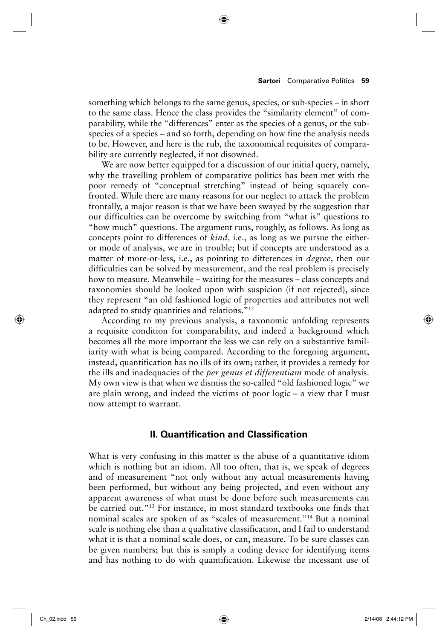something which belongs to the same genus, species, or sub-species – in short to the same class. Hence the class provides the "similarity element" of comparability, while the "differences" enter as the species of a genus, or the subspecies of a species – and so forth, depending on how fine the analysis needs to be. However, and here is the rub, the taxonomical requisites of comparability are currently neglected, if not disowned.

⊕

We are now better equipped for a discussion of our initial query, namely, why the travelling problem of comparative politics has been met with the poor remedy of "conceptual stretching" instead of being squarely confronted. While there are many reasons for our neglect to attack the problem frontally, a major reason is that we have been swayed by the suggestion that our difficulties can be overcome by switching from "what is" questions to "how much" questions. The argument runs, roughly, as follows. As long as concepts point to differences of *kind,* i.e., as long as we pursue the eitheror mode of analysis, we are in trouble; but if concepts are understood as a matter of more-or-less, i.e., as pointing to differences in *degree,* then our difficulties can be solved by measurement, and the real problem is precisely how to measure. Meanwhile – waiting for the measures – class concepts and taxonomies should be looked upon with suspicion (if not rejected), since they represent "an old fashioned logic of properties and attributes not well adapted to study quantities and relations."<sup>12</sup>

According to my previous analysis, a taxonomic unfolding represents a requisite condition for comparability, and indeed a background which becomes all the more important the less we can rely on a substantive familiarity with what is being compared. According to the foregoing argument, instead, quantification has no ills of its own; rather, it provides a remedy for the ills and inadequacies of the *per genus et differentiam* mode of analysis. My own view is that when we dismiss the so-called "old fashioned logic" we are plain wrong, and indeed the victims of poor logic – a view that I must now attempt to warrant.

# **II. Quantification and Classification**

What is very confusing in this matter is the abuse of a quantitative idiom which is nothing but an idiom. All too often, that is, we speak of degrees and of measurement "not only without any actual measurements having been performed, but without any being projected, and even without any apparent awareness of what must be done before such measurements can be carried out."<sup>13</sup> For instance, in most standard textbooks one finds that nominal scales are spoken of as "scales of measurement."<sup>14</sup> But a nominal scale is nothing else than a qualitative classification, and I fail to understand what it is that a nominal scale does, or can, measure. To be sure classes can be given numbers; but this is simply a coding device for identifying items and has nothing to do with quantification. Likewise the incessant use of

↔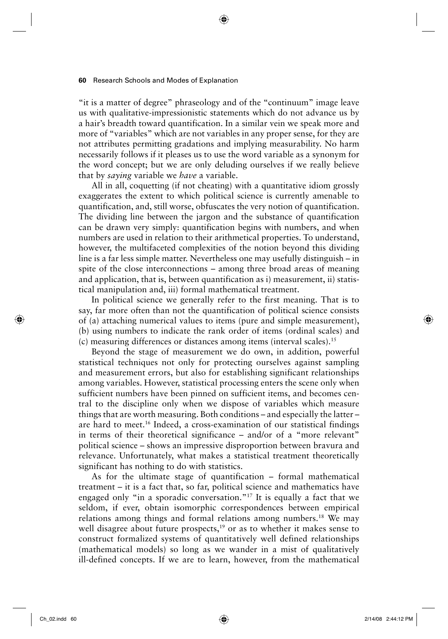"it is a matter of degree" phraseology and of the "continuum" image leave us with qualitative-impressionistic statements which do not advance us by a hair's breadth toward quantification. In a similar vein we speak more and more of "variables" which are not variables in any proper sense, for they are not attributes permitting gradations and implying measurability. No harm necessarily follows if it pleases us to use the word variable as a synonym for the word concept; but we are only deluding ourselves if we really believe that by *saying* variable we *have* a variable.

⊕

All in all, coquetting (if not cheating) with a quantitative idiom grossly exaggerates the extent to which political science is currently amenable to quantification, and, still worse, obfuscates the very notion of quantification. The dividing line between the jargon and the substance of quantification can be drawn very simply: quantification begins with numbers, and when numbers are used in relation to their arithmetical properties. To understand, however, the multifaceted complexities of the notion beyond this dividing line is a far less simple matter. Nevertheless one may usefully distinguish – in spite of the close interconnections – among three broad areas of meaning and application, that is, between quantification as i) measurement, ii) statistical manipulation and, iii) formal mathematical treatment.

In political science we generally refer to the first meaning. That is to say, far more often than not the quantification of political science consists of (a) attaching numerical values to items (pure and simple measurement), (b) using numbers to indicate the rank order of items (ordinal scales) and (c) measuring differences or distances among items (interval scales). 15

Beyond the stage of measurement we do own, in addition, powerful statistical techniques not only for protecting ourselves against sampling and measurement errors, but also for establishing significant relationships among variables. However, statistical processing enters the scene only when sufficient numbers have been pinned on sufficient items, and becomes central to the discipline only when we dispose of variables which measure things that are worth measuring. Both conditions – and especially the latter – are hard to meet.<sup>16</sup> Indeed, a cross-examination of our statistical findings in terms of their theoretical significance – and/or of a "more relevant" political science – shows an impressive disproportion between bravura and relevance. Unfortunately, what makes a statistical treatment theoretically significant has nothing to do with statistics.

As for the ultimate stage of quantification – formal mathematical treatment – it is a fact that, so far, political science and mathematics have engaged only "in a sporadic conversation."<sup>17</sup> It is equally a fact that we seldom, if ever, obtain isomorphic correspondences between empirical relations among things and formal relations among numbers.<sup>18</sup> We may well disagree about future prospects, $19$  or as to whether it makes sense to construct formalized systems of quantitatively well defined relationships (mathematical models) so long as we wander in a mist of qualitatively ill-defined concepts. If we are to learn, however, from the mathematical

↔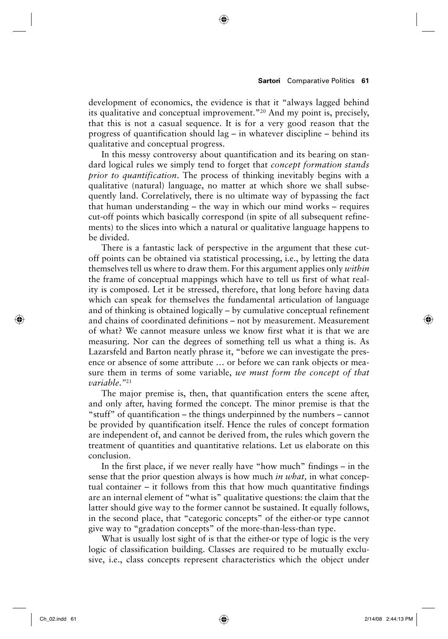development of economics, the evidence is that it "always lagged behind its qualitative and conceptual improvement." 20 And my point is, precisely, that this is not a casual sequence. It is for a very good reason that the progress of quantification should lag – in whatever discipline – behind its qualitative and conceptual progress.

↔

In this messy controversy about quantification and its bearing on standard logical rules we simply tend to forget that *concept formation stands prior to quantification.* The process of thinking inevitably begins with a qualitative (natural) language, no matter at which shore we shall subsequently land. Correlatively, there is no ultimate way of bypassing the fact that human understanding – the way in which our mind works – requires cut-off points which basically correspond (in spite of all subsequent refinements) to the slices into which a natural or qualitative language happens to be divided.

There is a fantastic lack of perspective in the argument that these cutoff points can be obtained via statistical processing, i.e., by letting the data themselves tell us where to draw them. For this argument applies only *within* the frame of conceptual mappings which have to tell us first of what reality is composed. Let it be stressed, therefore, that long before having data which can speak for themselves the fundamental articulation of language and of thinking is obtained logically – by cumulative conceptual refinement and chains of coordinated definitions – not by measurement. Measurement of what? We cannot measure unless we know first what it is that we are measuring. Nor can the degrees of something tell us what a thing is. As Lazarsfeld and Barton neatly phrase it, "before we can investigate the presence or absence of some attribute … or before we can rank objects or measure them in terms of some variable, *we must form the concept of that variable."*<sup>21</sup>

The major premise is, then, that quantification enters the scene after, and only after, having formed the concept. The minor premise is that the "stuff" of quantification – the things underpinned by the numbers – cannot be provided by quantification itself. Hence the rules of concept formation are independent of, and cannot be derived from, the rules which govern the treatment of quantities and quantitative relations. Let us elaborate on this conclusion.

In the first place, if we never really have "how much" findings – in the sense that the prior question always is how much *in what,* in what conceptual container – it follows from this that how much quantitative findings are an internal element of "what is" qualitative questions: the claim that the latter should give way to the former cannot be sustained. It equally follows, in the second place, that "categoric concepts" of the either-or type cannot give way to "gradation concepts" of the more-than-less-than type.

What is usually lost sight of is that the either-or type of logic is the very logic of classification building. Classes are required to be mutually exclusive, i.e., class concepts represent characteristics which the object under

↔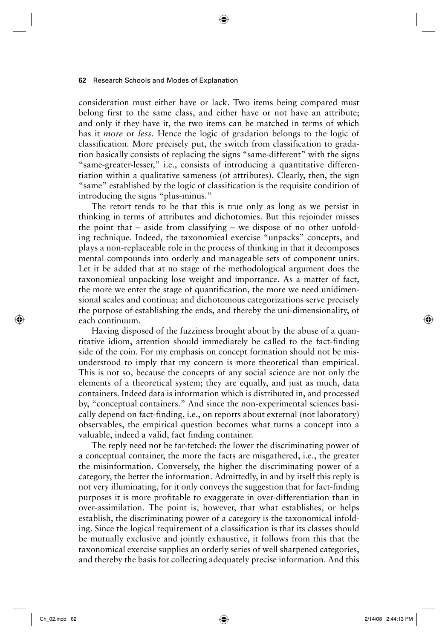consideration must either have or lack. Two items being compared must belong first to the same class, and either have or not have an attribute; and only if they have it, the two items can be matched in terms of which has it *more* or *less.* Hence the logic of gradation belongs to the logic of classification. More precisely put, the switch from classification to gradation basically consists of replacing the signs "same-different" with the signs "same-greater-lesser," i.e., consists of introducing a quantitative differentiation within a qualitative sameness (of attributes). Clearly, then, the sign "same" established by the logic of classification is the requisite condition of introducing the signs "plus-minus."

⊕

The retort tends to be that this is true only as long as we persist in thinking in terms of attributes and dichotomies. But this rejoinder misses the point that – aside from classifying – we dispose of no other unfolding technique. Indeed, the taxonomieal exercise "unpacks" concepts, and plays a non-replaceable role in the process of thinking in that it decomposes mental compounds into orderly and manageable sets of component units. Let it be added that at no stage of the methodological argument does the taxonomieal unpacking lose weight and importance. As a matter of fact, the more we enter the stage of quantification, the more we need unidimensional scales and continua; and dichotomous categorizations serve precisely the purpose of establishing the ends, and thereby the uni-dimensionality, of each continuum.

Having disposed of the fuzziness brought about by the abuse of a quantitative idiom, attention should immediately be called to the fact-finding side of the coin. For my emphasis on concept formation should not be misunderstood to imply that my concern is more theoretical than empirical. This is not so, because the concepts of any social science are not only the elements of a theoretical system; they are equally, and just as much, data containers. Indeed data is information which is distributed in, and processed by, "conceptual containers." And since the non-experimental sciences basically depend on fact-finding, i.e., on reports about external (not laboratory) observables, the empirical question becomes what turns a concept into a valuable, indeed a valid, fact finding container.

The reply need not be far-fetched: the lower the discriminating power of a conceptual container, the more the facts are misgathered, i.e., the greater the misinformation. Conversely, the higher the discriminating power of a category, the better the information. Admittedly, in and by itself this reply is not very illuminating, for it only conveys the suggestion that for fact-finding purposes it is more profitable to exaggerate in over-differentiation than in over-assimilation. The point is, however, that what establishes, or helps establish, the discriminating power of a category is the taxonomical infolding. Since the logical requirement of a classification is that its classes should be mutually exclusive and jointly exhaustive, it follows from this that the taxonomical exercise supplies an orderly series of well sharpened categories, and thereby the basis for collecting adequately precise information. And this

↔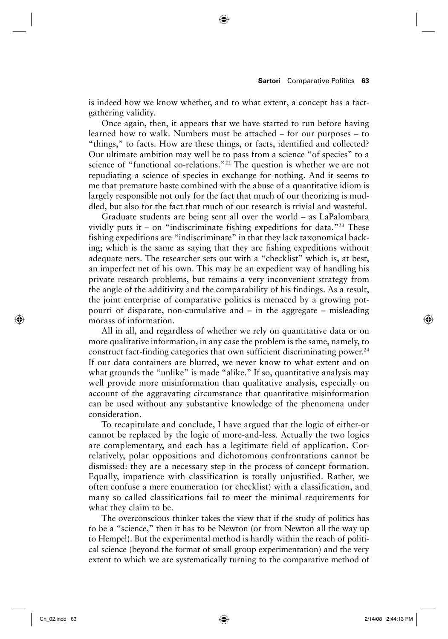is indeed how we know whether, and to what extent, a concept has a factgathering validity.

↔

Once again, then, it appears that we have started to run before having learned how to walk. Numbers must be attached – for our purposes – to "things," to facts. How are these things, or facts, identified and collected? Our ultimate ambition may well be to pass from a science "of species" to a science of "functional co-relations."<sup>22</sup> The question is whether we are not repudiating a science of species in exchange for nothing. And it seems to me that premature haste combined with the abuse of a quantitative idiom is largely responsible not only for the fact that much of our theorizing is muddled, but also for the fact that much of our research is trivial and wasteful.

Graduate students are being sent all over the world – as LaPalombara vividly puts it – on "indiscriminate fishing expeditions for data."<sup>23</sup> These fishing expeditions are "indiscriminate" in that they lack taxonomical backing; which is the same as saying that they are fishing expeditions without adequate nets. The researcher sets out with a "checklist" which is, at best, an imperfect net of his own. This may be an expedient way of handling his private research problems, but remains a very inconvenient strategy from the angle of the additivity and the comparability of his findings. As a result, the joint enterprise of comparative politics is menaced by a growing potpourri of disparate, non-cumulative and – in the aggregate – misleading morass of information.

All in all, and regardless of whether we rely on quantitative data or on more qualitative information, in any case the problem is the same, namely, to construct fact-finding categories that own sufficient discriminating power. 24 If our data containers are blurred, we never know to what extent and on what grounds the "unlike" is made "alike." If so, quantitative analysis may well provide more misinformation than qualitative analysis, especially on account of the aggravating circumstance that quantitative misinformation can be used without any substantive knowledge of the phenomena under consideration.

To recapitulate and conclude, I have argued that the logic of either-or cannot be replaced by the logic of more-and-less. Actually the two logics are complementary, and each has a legitimate field of application. Correlatively, polar oppositions and dichotomous confrontations cannot be dismissed: they are a necessary step in the process of concept formation. Equally, impatience with classification is totally unjustified. Rather, we often confuse a mere enumeration (or checklist) with a classification, and many so called classifications fail to meet the minimal requirements for what they claim to be.

The overconscious thinker takes the view that if the study of politics has to be a "science," then it has to be Newton (or from Newton all the way up to Hempel). But the experimental method is hardly within the reach of political science (beyond the format of small group experimentation) and the very extent to which we are systematically turning to the comparative method of

⊕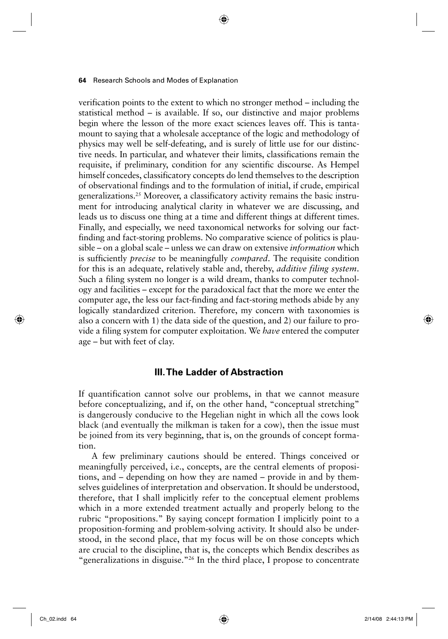verification points to the extent to which no stronger method – including the statistical method – is available. If so, our distinctive and major problems begin where the lesson of the more exact sciences leaves off. This is tantamount to saying that a wholesale acceptance of the logic and methodology of physics may well be self-defeating, and is surely of little use for our distinctive needs. In particular, and whatever their limits, classifications remain the requisite, if preliminary, condition for any scientific discourse. As Hempel himself concedes, classificatory concepts do lend themselves to the description of observational findings and to the formulation of initial, if crude, empirical generalizations. 25 Moreover, a classificatory activity remains the basic instrument for introducing analytical clarity in whatever we are discussing, and leads us to discuss one thing at a time and different things at different times. Finally, and especially, we need taxonomical networks for solving our factfinding and fact-storing problems. No comparative science of politics is plausible – on a global scale – unless we can draw on extensive *information* which is sufficiently *precise* to be meaningfully *compared.* The requisite condition for this is an adequate, relatively stable and, thereby, *additive filing system.* Such a filing system no longer is a wild dream, thanks to computer technology and facilities – except for the paradoxical fact that the more we enter the computer age, the less our fact-finding and fact-storing methods abide by any logically standardized criterion. Therefore, my concern with taxonomies is also a concern with 1) the data side of the question, and 2) our failure to provide a filing system for computer exploitation. We *have* entered the computer age – but with feet of clay.

⊕

# **III. The Ladder of Abstraction**

If quantification cannot solve our problems, in that we cannot measure before conceptualizing, and if, on the other hand, "conceptual stretching" is dangerously conducive to the Hegelian night in which all the cows look black (and eventually the milkman is taken for a cow), then the issue must be joined from its very beginning, that is, on the grounds of concept formation.

A few preliminary cautions should be entered. Things conceived or meaningfully perceived, i.e., concepts, are the central elements of propositions, and – depending on how they are named – provide in and by themselves guidelines of interpretation and observation. It should be understood, therefore, that I shall implicitly refer to the conceptual element problems which in a more extended treatment actually and properly belong to the rubric "propositions." By saying concept formation I implicitly point to a proposition-forming and problem-solving activity. It should also be understood, in the second place, that my focus will be on those concepts which are crucial to the discipline, that is, the concepts which Bendix describes as "generalizations in disguise."<sup>26</sup> In the third place, I propose to concentrate

↔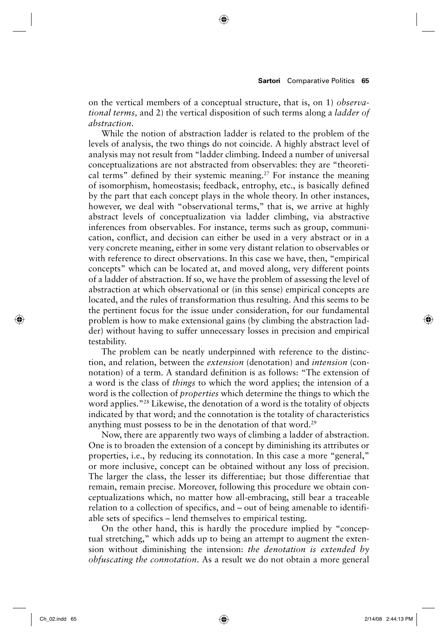on the vertical members of a conceptual structure, that is, on 1) *observational terms,* and 2) the vertical disposition of such terms along a *ladder of abstraction.*

⊕

While the notion of abstraction ladder is related to the problem of the levels of analysis, the two things do not coincide. A highly abstract level of analysis may not result from "ladder climbing. Indeed a number of universal conceptualizations are not abstracted from observables: they are "theoretical terms" defined by their systemic meaning.<sup>27</sup> For instance the meaning of isomorphism, homeostasis; feedback, entrophy, etc., is basically defined by the part that each concept plays in the whole theory. In other instances, however, we deal with "observational terms," that is, we arrive at highly abstract levels of conceptualization via ladder climbing, via abstractive inferences from observables. For instance, terms such as group, communication, conflict, and decision can either be used in a very abstract or in a very concrete meaning, either in some very distant relation to observables or with reference to direct observations. In this case we have, then, "empirical concepts" which can be located at, and moved along, very different points of a ladder of abstraction. If so, we have the problem of assessing the level of abstraction at which observational or (in this sense) empirical concepts are located, and the rules of transformation thus resulting. And this seems to be the pertinent focus for the issue under consideration, for our fundamental problem is how to make extensional gains (by climbing the abstraction ladder) without having to suffer unnecessary losses in precision and empirical testability.

The problem can be neatly underpinned with reference to the distinction, and relation, between the *extension* (denotation) and *intension* (connotation) of a term. A standard definition is as follows: "The extension of a word is the class of *things* to which the word applies; the intension of a word is the collection of *properties* which determine the things to which the word applies."<sup>28</sup> Likewise, the denotation of a word is the totality of objects indicated by that word; and the connotation is the totality of characteristics anything must possess to be in the denotation of that word.<sup>29</sup>

Now, there are apparently two ways of climbing a ladder of abstraction. One is to broaden the extension of a concept by diminishing its attributes or properties, i.e., by reducing its connotation. In this case a more "general," or more inclusive, concept can be obtained without any loss of precision. The larger the class, the lesser its differentiae; but those differentiae that remain, remain precise. Moreover, following this procedure we obtain conceptualizations which, no matter how all-embracing, still bear a traceable relation to a collection of specifics, and – out of being amenable to identifiable sets of specifics – lend themselves to empirical testing.

On the other hand, this is hardly the procedure implied by "conceptual stretching," which adds up to being an attempt to augment the extension without diminishing the intension: *the denotation is extended by obfuscating the connotation.* As a result we do not obtain a more general

↔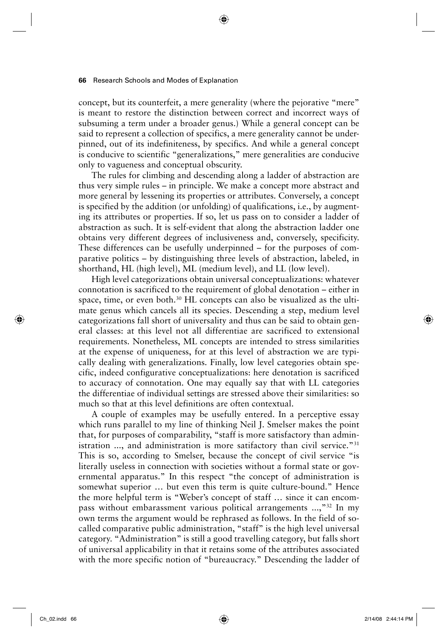concept, but its counterfeit, a mere generality (where the pejorative "mere" is meant to restore the distinction between correct and incorrect ways of subsuming a term under a broader genus.) While a general concept can be said to represent a collection of specifics, a mere generality cannot be underpinned, out of its indefiniteness, by specifics. And while a general concept is conducive to scientific "generalizations," mere generalities are conducive only to vagueness and conceptual obscurity.

⊕

The rules for climbing and descending along a ladder of abstraction are thus very simple rules – in principle. We make a concept more abstract and more general by lessening its properties or attributes. Conversely, a concept is specified by the addition (or unfolding) of qualifications, i.e., by augmenting its attributes or properties. If so, let us pass on to consider a ladder of abstraction as such. It is self-evident that along the abstraction ladder one obtains very different degrees of inclusiveness and, conversely, specificity. These differences can be usefully underpinned – for the purposes of comparative politics – by distinguishing three levels of abstraction, labeled, in shorthand, HL (high level), ML (medium level), and LL (low level).

High level categorizations obtain universal conceptualizations: whatever connotation is sacrificed to the requirement of global denotation – either in space, time, or even both.<sup>30</sup> HL concepts can also be visualized as the ultimate genus which cancels all its species. Descending a step, medium level categorizations fall short of universality and thus can be said to obtain general classes: at this level not all differentiae are sacrificed to extensional requirements. Nonetheless, ML concepts are intended to stress similarities at the expense of uniqueness, for at this level of abstraction we are typically dealing with generalizations. Finally, low level categories obtain specific, indeed configurative conceptualizations: here denotation is sacrificed to accuracy of connotation. One may equally say that with LL categories the differentiae of individual settings are stressed above their similarities: so much so that at this level definitions are often contextual.

A couple of examples may be usefully entered. In a perceptive essay which runs parallel to my line of thinking Neil J. Smelser makes the point that, for purposes of comparability, "staff is more satisfactory than administration ..., and administration is more satifactory than civil service."<sup>31</sup> This is so, according to Smelser, because the concept of civil service "is literally useless in connection with societies without a formal state or governmental apparatus." In this respect "the concept of administration is somewhat superior … but even this term is quite culture-bound." Hence the more helpful term is "Weber's concept of staff … since it can encompass without embarassment various political arrangements ...," 32 In my own terms the argument would be rephrased as follows. In the field of socalled comparative public administration, "staff" is the high level universal category. "Administration" is still a good travelling category, but falls short of universal applicability in that it retains some of the attributes associated with the more specific notion of "bureaucracy." Descending the ladder of

↔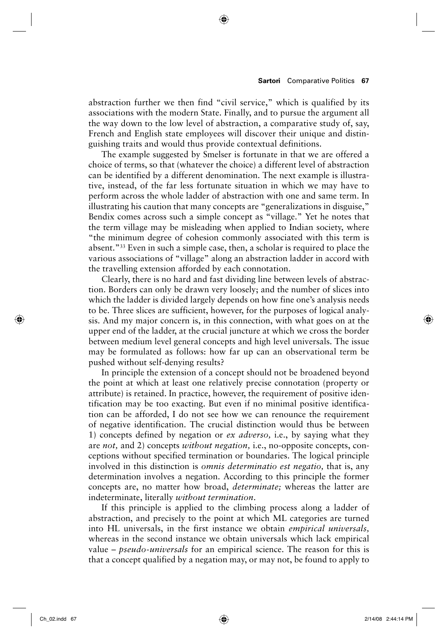abstraction further we then find "civil service," which is qualified by its associations with the modern State. Finally, and to pursue the argument all the way down to the low level of abstraction, a comparative study of, say, French and English state employees will discover their unique and distinguishing traits and would thus provide contextual definitions.

↔

The example suggested by Smelser is fortunate in that we are offered a choice of terms, so that (whatever the choice) a different level of abstraction can be identified by a different denomination. The next example is illustrative, instead, of the far less fortunate situation in which we may have to perform across the whole ladder of abstraction with one and same term. In illustrating his caution that many concepts are "generalizations in disguise," Bendix comes across such a simple concept as "village." Yet he notes that the term village may be misleading when applied to Indian society, where "the minimum degree of cohesion commonly associated with this term is absent." 33 Even in such a simple case, then, a scholar is required to place the various associations of "village" along an abstraction ladder in accord with the travelling extension afforded by each connotation.

Clearly, there is no hard and fast dividing line between levels of abstraction. Borders can only be drawn very loosely; and the number of slices into which the ladder is divided largely depends on how fine one's analysis needs to be. Three slices are sufficient, however, for the purposes of logical analysis. And my major concern is, in this connection, with what goes on at the upper end of the ladder, at the crucial juncture at which we cross the border between medium level general concepts and high level universals. The issue may be formulated as follows: how far up can an observational term be pushed without self-denying results?

In principle the extension of a concept should not be broadened beyond the point at which at least one relatively precise connotation (property or attribute) is retained. In practice, however, the requirement of positive identification may be too exacting. But even if no minimal positive identification can be afforded, I do not see how we can renounce the requirement of negative identification. The crucial distinction would thus be between 1) concepts defined by negation or *ex adverso,* i.e., by saying what they are *not,* and 2) concepts *without negation,* i.e., no-opposite concepts, conceptions without specified termination or boundaries. The logical principle involved in this distinction is *omnis determinatio est negatio,* that is, any determination involves a negation. According to this principle the former concepts are, no matter how broad, *determinate;* whereas the latter are indeterminate, literally *without termination.*

If this principle is applied to the climbing process along a ladder of abstraction, and precisely to the point at which ML categories are turned into HL universals, in the first instance we obtain *empirical universals,* whereas in the second instance we obtain universals which lack empirical value – *pseudo-universals* for an empirical science. The reason for this is that a concept qualified by a negation may, or may not, be found to apply to

⊕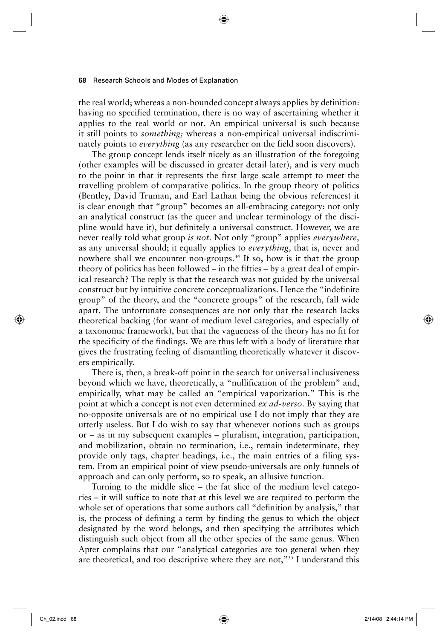the real world; whereas a non-bounded concept always applies by definition: having no specified termination, there is no way of ascertaining whether it applies to the real world or not. An empirical universal is such because it still points to *something;* whereas a non-empirical universal indiscriminately points to *everything* (as any researcher on the field soon discovers).

⊕

The group concept lends itself nicely as an illustration of the foregoing (other examples will be discussed in greater detail later), and is very much to the point in that it represents the first large scale attempt to meet the travelling problem of comparative politics. In the group theory of politics (Bentley, David Truman, and Earl Lathan being the obvious references) it is clear enough that "group" becomes an all-embracing category: not only an analytical construct (as the queer and unclear terminology of the discipline would have it), but definitely a universal construct. However, we are never really told what group *is not.* Not only "group" applies *everywhere,* as any universal should; it equally applies to *everything,* that is, never and nowhere shall we encounter non-groups.<sup>34</sup> If so, how is it that the group theory of politics has been followed – in the fifties – by a great deal of empirical research? The reply is that the research was not guided by the universal construct but by intuitive concrete conceptualizations. Hence the "indefinite group" of the theory, and the "concrete groups" of the research, fall wide apart. The unfortunate consequences are not only that the research lacks theoretical backing (for want of medium level categories, and especially of a taxonomic framework), but that the vagueness of the theory has no fit for the specificity of the findings. We are thus left with a body of literature that gives the frustrating feeling of dismantling theoretically whatever it discovers empirically.

There is, then, a break-off point in the search for universal inclusiveness beyond which we have, theoretically, a "nullification of the problem" and, empirically, what may be called an "empirical vaporization." This is the point at which a concept is not even determined *ex ad-verso.* By saying that no-opposite universals are of no empirical use I do not imply that they are utterly useless. But I do wish to say that whenever notions such as groups or – as in my subsequent examples – pluralism, integration, participation, and mobilization, obtain no termination, i.e., remain indeterminate, they provide only tags, chapter headings, i.e., the main entries of a filing system. From an empirical point of view pseudo-universals are only funnels of approach and can only perform, so to speak, an allusive function.

Turning to the middle slice – the fat slice of the medium level categories – it will suffice to note that at this level we are required to perform the whole set of operations that some authors call "definition by analysis," that is, the process of defining a term by finding the genus to which the object designated by the word belongs, and then specifying the attributes which distinguish such object from all the other species of the same genus. When Apter complains that our "analytical categories are too general when they are theoretical, and too descriptive where they are not,"<sup>35</sup> I understand this

↔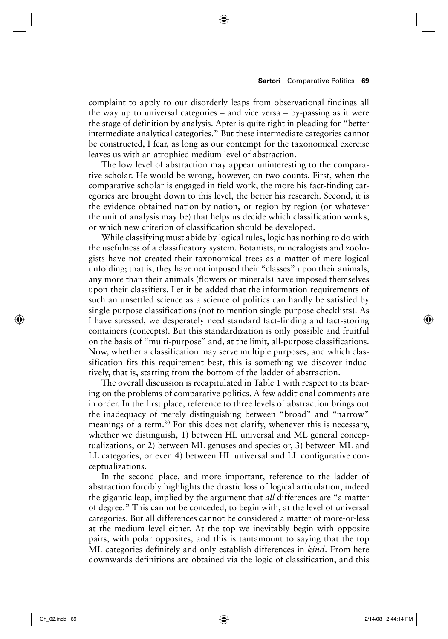complaint to apply to our disorderly leaps from observational findings all the way up to universal categories – and vice versa – by-passing as it were the stage of definition by analysis. Apter is quite right in pleading for "better intermediate analytical categories." But these intermediate categories cannot be constructed, I fear, as long as our contempt for the taxonomical exercise leaves us with an atrophied medium level of abstraction.

⊕

The low level of abstraction may appear uninteresting to the comparative scholar. He would be wrong, however, on two counts. First, when the comparative scholar is engaged in field work, the more his fact-finding categories are brought down to this level, the better his research. Second, it is the evidence obtained nation-by-nation, or region-by-region (or whatever the unit of analysis may be) that helps us decide which classification works, or which new criterion of classification should be developed.

While classifying must abide by logical rules, logic has nothing to do with the usefulness of a classificatory system. Botanists, mineralogists and zoologists have not created their taxonomical trees as a matter of mere logical unfolding; that is, they have not imposed their "classes" upon their animals, any more than their animals (flowers or minerals) have imposed themselves upon their classifiers. Let it be added that the information requirements of such an unsettled science as a science of politics can hardly be satisfied by single-purpose classifications (not to mention single-purpose checklists). As I have stressed, we desperately need standard fact-finding and fact-storing containers (concepts). But this standardization is only possible and fruitful on the basis of "multi-purpose" and, at the limit, all-purpose classifications. Now, whether a classification may serve multiple purposes, and which classification fits this requirement best, this is something we discover inductively, that is, starting from the bottom of the ladder of abstraction.

The overall discussion is recapitulated in Table 1 with respect to its bearing on the problems of comparative politics. A few additional comments are in order. In the first place, reference to three levels of abstraction brings out the inadequacy of merely distinguishing between "broad" and "narrow" meanings of a term.<sup>30</sup> For this does not clarify, whenever this is necessary, whether we distinguish, 1) between HL universal and ML general conceptualizations, or 2) between ML genuses and species or, 3) between ML and LL categories, or even 4) between HL universal and LL configurative conceptualizations.

In the second place, and more important, reference to the ladder of abstraction forcibly highlights the drastic loss of logical articulation, indeed the gigantic leap, implied by the argument that *all* differences are "a matter of degree." This cannot be conceded, to begin with, at the level of universal categories. But all differences cannot be considered a matter of more-or-less at the medium level either. At the top we inevitably begin with opposite pairs, with polar opposites, and this is tantamount to saying that the top ML categories definitely and only establish differences in *kind.* From here downwards definitions are obtained via the logic of classification, and this

↔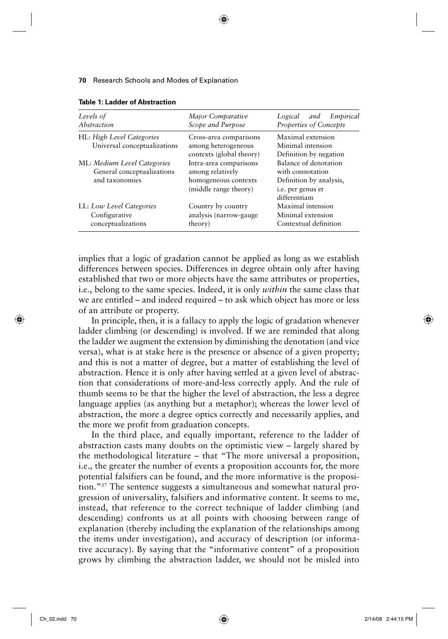| Levels of<br>Abstraction                                                    | Major Comparative<br>Scope and Purpose                                                      | Empirical<br>Logical<br>and<br>Properties of Concepts                                                     |
|-----------------------------------------------------------------------------|---------------------------------------------------------------------------------------------|-----------------------------------------------------------------------------------------------------------|
| HL: High Level Categories<br>Universal conceptualizations                   | Cross-area comparisons<br>among heterogeneous<br>contexts (global theory)                   | Maximal extension<br>Minimal intension<br>Definition by negation                                          |
| ML: Medium Level Categories<br>General conceptualizations<br>and taxonomies | Intra-area comparisons<br>among relatively<br>homogeneous contexts<br>(middle range theory) | Balance of denotation<br>with connotation<br>Definition by analysis,<br>i.e. per genus et<br>differentiam |
| LL: Low Level Categories<br>Configurative<br>conceptualizations             | Country by country<br>analysis (narrow-gauge<br>theory)                                     | Maximal intension<br>Minimal extension<br>Contextual definition                                           |

⊕

#### **Table 1: Ladder of Abstraction**

implies that a logic of gradation cannot be applied as long as we establish differences between species. Differences in degree obtain only after having established that two or more objects have the same attributes or properties, i.e., belong to the same species. Indeed, it is only *within* the same class that we are entitled – and indeed required – to ask which object has more or less of an attribute or property.

In principle, then, it is a fallacy to apply the logic of gradation whenever ladder climbing (or descending) is involved. If we are reminded that along the ladder we augment the extension by diminishing the denotation (and vice versa), what is at stake here is the presence or absence of a given property; and this is not a matter of degree, but a matter of establishing the level of abstraction. Hence it is only after having settled at a given level of abstraction that considerations of more-and-less correctly apply. And the rule of thumb seems to be that the higher the level of abstraction, the less a degree language applies (as anything but a metaphor); whereas the lower level of abstraction, the more a degree optics correctly and necessarily applies, and the more we profit from graduation concepts.

In the third place, and equally important, reference to the ladder of abstraction casts many doubts on the optimistic view – largely shared by the methodological literature – that "The more universal a proposition, i.e., the greater the number of events a proposition accounts for, the more potential falsifiers can be found, and the more informative is the proposition." 37 The sentence suggests a simultaneous and somewhat natural progression of universality, falsifiers and informative content. It seems to me, instead, that reference to the correct technique of ladder climbing (and descending) confronts us at all points with choosing between range of explanation (thereby including the explanation of the relationships among the items under investigation), and accuracy of description (or informative accuracy). By saying that the "informative content" of a proposition grows by climbing the abstraction ladder, we should not be misled into

↔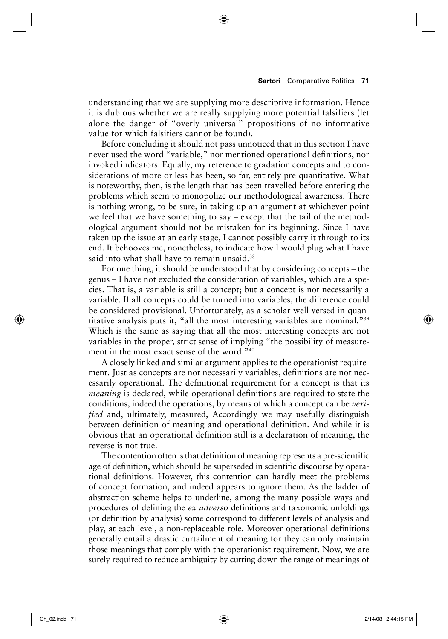understanding that we are supplying more descriptive information. Hence it is dubious whether we are really supplying more potential falsifiers (let alone the danger of "overly universal" propositions of no informative value for which falsifiers cannot be found).

⊕

Before concluding it should not pass unnoticed that in this section I have never used the word "variable," nor mentioned operational definitions, nor invoked indicators. Equally, my reference to gradation concepts and to considerations of more-or-less has been, so far, entirely pre-quantitative. What is noteworthy, then, is the length that has been travelled before entering the problems which seem to monopolize our methodological awareness. There is nothing wrong, to be sure, in taking up an argument at whichever point we feel that we have something to say – except that the tail of the methodological argument should not be mistaken for its beginning. Since I have taken up the issue at an early stage, I cannot possibly carry it through to its end. It behooves me, nonetheless, to indicate how I would plug what I have said into what shall have to remain unsaid.<sup>38</sup>

For one thing, it should be understood that by considering concepts – the genus – I have not excluded the consideration of variables, which are a species. That is, a variable is still a concept; but a concept is not necessarily a variable. If all concepts could be turned into variables, the difference could be considered provisional. Unfortunately, as a scholar well versed in quantitative analysis puts it, "all the most interesting variables are nominal." 39 Which is the same as saying that all the most interesting concepts are not variables in the proper, strict sense of implying "the possibility of measurement in the most exact sense of the word."<sup>40</sup>

A closely linked and similar argument applies to the operationist requirement. Just as concepts are not necessarily variables, definitions are not necessarily operational. The definitional requirement for a concept is that its *meaning* is declared, while operational definitions are required to state the conditions, indeed the operations, by means of which a concept can be *verified* and, ultimately, measured, Accordingly we may usefully distinguish between definition of meaning and operational definition. And while it is obvious that an operational definition still is a declaration of meaning, the reverse is not true.

The contention often is that definition of meaning represents a pre- scientific age of definition, which should be superseded in scientific discourse by operational definitions. However, this contention can hardly meet the problems of concept formation, and indeed appears to ignore them. As the ladder of abstraction scheme helps to underline, among the many possible ways and procedures of defining the *ex adverso* definitions and taxonomic unfoldings (or definition by analysis) some correspond to different levels of analysis and play, at each level, a non-replaceable role. Moreover operational definitions generally entail a drastic curtailment of meaning for they can only maintain those meanings that comply with the operationist requirement. Now, we are surely required to reduce ambiguity by cutting down the range of meanings of

↔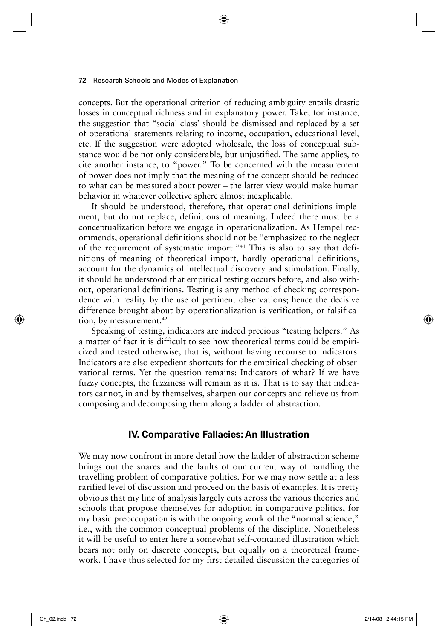concepts. But the operational criterion of reducing ambiguity entails drastic losses in conceptual richness and in explanatory power. Take, for instance, the suggestion that "social class' should be dismissed and replaced by a set of operational statements relating to income, occupation, educational level, etc. If the suggestion were adopted wholesale, the loss of conceptual substance would be not only considerable, but unjustified. The same applies, to cite another instance, to "power." To be concerned with the measurement of power does not imply that the meaning of the concept should be reduced to what can be measured about power – the latter view would make human behavior in whatever collective sphere almost inexplicable.

⊕

It should be understood, therefore, that operational definitions implement, but do not replace, definitions of meaning. Indeed there must be a conceptualization before we engage in operationalization. As Hempel recommends, operational definitions should not be "emphasized to the neglect of the requirement of systematic import."<sup>41</sup> This is also to say that definitions of meaning of theoretical import, hardly operational definitions, account for the dynamics of intellectual discovery and stimulation. Finally, it should be understood that empirical testing occurs before, and also without, operational definitions. Testing is any method of checking correspondence with reality by the use of pertinent observations; hence the decisive difference brought about by operationalization is verification, or falsification, by measurement.<sup>42</sup>

Speaking of testing, indicators are indeed precious "testing helpers." As a matter of fact it is difficult to see how theoretical terms could be empiricized and tested otherwise, that is, without having recourse to indicators. Indicators are also expedient shortcuts for the empirical checking of observational terms. Yet the question remains: Indicators of what? If we have fuzzy concepts, the fuzziness will remain as it is. That is to say that indicators cannot, in and by themselves, sharpen our concepts and relieve us from composing and decomposing them along a ladder of abstraction.

# **IV. Comparative Fallacies: An Illustration**

We may now confront in more detail how the ladder of abstraction scheme brings out the snares and the faults of our current way of handling the travelling problem of comparative politics. For we may now settle at a less rarified level of discussion and proceed on the basis of examples. It is pretty obvious that my line of analysis largely cuts across the various theories and schools that propose themselves for adoption in comparative politics, for my basic preoccupation is with the ongoing work of the "normal science," i.e., with the common conceptual problems of the discipline. Nonetheless it will be useful to enter here a somewhat self-contained illustration which bears not only on discrete concepts, but equally on a theoretical framework. I have thus selected for my first detailed discussion the categories of

↔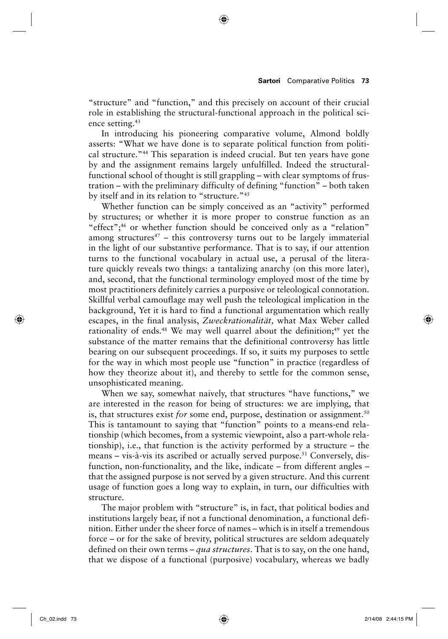"structure" and "function," and this precisely on account of their crucial role in establishing the structural-functional approach in the political science setting. 43

⊕

In introducing his pioneering comparative volume, Almond boldly asserts: "What we have done is to separate political function from political structure."<sup>44</sup> This separation is indeed crucial. But ten years have gone by and the assignment remains largely unfulfilled. Indeed the structuralfunctional school of thought is still grappling – with clear symptoms of frustration – with the preliminary difficulty of defining "function" – both taken by itself and in its relation to "structure."<sup>45</sup>

Whether function can be simply conceived as an "activity" performed by structures; or whether it is more proper to construe function as an "effect"; 46 or whether function should be conceived only as a "relation" among structures<sup> $47$ </sup> – this controversy turns out to be largely immaterial in the light of our substantive performance. That is to say, if our attention turns to the functional vocabulary in actual use, a perusal of the literature quickly reveals two things: a tantalizing anarchy (on this more later), and, second, that the functional terminology employed most of the time by most practitioners definitely carries a purposive or teleological connotation. Skillful verbal camouflage may well push the teleological implication in the background, Yet it is hard to find a functional argumentation which really escapes, in the final analysis, *Zweckrationalität,* what Max Weber called rationality of ends.<sup>48</sup> We may well quarrel about the definition;<sup>49</sup> yet the substance of the matter remains that the definitional controversy has little bearing on our subsequent proceedings. If so, it suits my purposes to settle for the way in which most people use "function" in practice (regardless of how they theorize about it), and thereby to settle for the common sense, unsophisticated meaning.

When we say, somewhat naively, that structures "have functions," we are interested in the reason for being of structures: we are implying, that is, that structures exist *for* some end, purpose, destination or assignment.<sup>50</sup> This is tantamount to saying that "function" points to a means-end relationship (which becomes, from a systemic viewpoint, also a part-whole relationship), i.e., that function is the activity performed by a structure – the means – vis-à-vis its ascribed or actually served purpose.<sup>51</sup> Conversely, disfunction, non-functionality, and the like, indicate – from different angles – that the assigned purpose is not served by a given structure. And this current usage of function goes a long way to explain, in turn, our difficulties with structure.

The major problem with "structure" is, in fact, that political bodies and institutions largely bear, if not a functional denomination, a functional definition. Either under the sheer force of names – which is in itself a tremendous force – or for the sake of brevity, political structures are seldom adequately defined on their own terms – *qua structures.* That is to say, on the one hand, that we dispose of a functional (purposive) vocabulary, whereas we badly

↔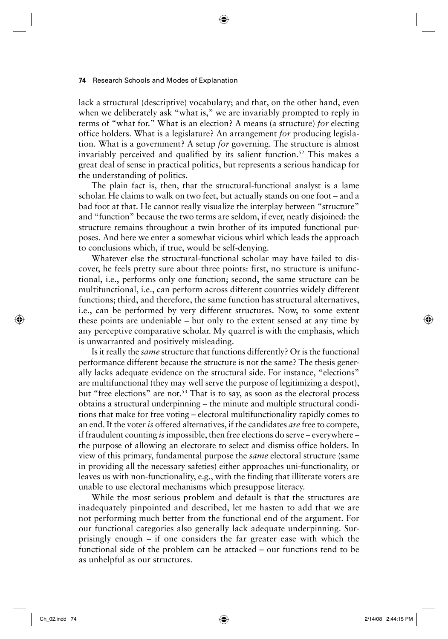lack a structural (descriptive) vocabulary; and that, on the other hand, even when we deliberately ask "what is," we are invariably prompted to reply in terms of "what for." What is an election? A means (a structure) *for* electing office holders. What is a legislature? An arrangement *for* producing legislation. What is a government? A setup *for* governing. The structure is almost invariably perceived and qualified by its salient function. 52 This makes a great deal of sense in practical politics, but represents a serious handicap for the understanding of politics.

⊕

The plain fact is, then, that the structural-functional analyst is a lame scholar. He claims to walk on two feet, but actually stands on one foot – and a bad foot at that. He cannot really visualize the interplay between "structure" and "function" because the two terms are seldom, if ever, neatly disjoined: the structure remains throughout a twin brother of its imputed functional purposes. And here we enter a somewhat vicious whirl which leads the approach to conclusions which, if true, would be self-denying.

Whatever else the structural-functional scholar may have failed to discover, he feels pretty sure about three points: first, no structure is unifunctional, i.e., performs only one function; second, the same structure can be multifunctional, i.e., can perform across different countries widely different functions; third, and therefore, the same function has structural alternatives, i.e., can be performed by very different structures. Now, to some extent these points are undeniable – but only to the extent sensed at any time by any perceptive comparative scholar. My quarrel is with the emphasis, which is unwarranted and positively misleading.

Is it really the *same* structure that functions differently? Or is the functional performance different because the structure is not the same? The thesis generally lacks adequate evidence on the structural side. For instance, "elections" are multifunctional (they may well serve the purpose of legitimizing a despot), but "free elections" are not.<sup>53</sup> That is to say, as soon as the electoral process obtains a structural underpinning – the minute and multiple structural conditions that make for free voting – electoral multifunctionality rapidly comes to an end. If the voter *is* offered alternatives, if the candidates *are* free to compete, if fraudulent counting *is* impossible, then free elections do serve – everywhere – the purpose of allowing an electorate to select and dismiss office holders. In view of this primary, fundamental purpose the *same* electoral structure (same in providing all the necessary safeties) either approaches uni-functionality, or leaves us with non-functionality, e.g., with the finding that illiterate voters are unable to use electoral mechanisms which presuppose literacy.

While the most serious problem and default is that the structures are inadequately pinpointed and described, let me hasten to add that we are not performing much better from the functional end of the argument. For our functional categories also generally lack adequate underpinning. Surprisingly enough – if one considers the far greater ease with which the functional side of the problem can be attacked – our functions tend to be as unhelpful as our structures.

↔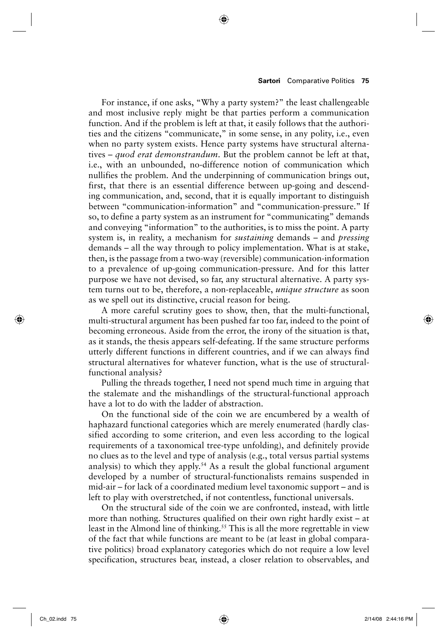#### **Sartori** Comparative Politics **75**

For instance, if one asks, "Why a party system?" the least challengeable and most inclusive reply might be that parties perform a communication function. And if the problem is left at that, it easily follows that the authorities and the citizens "communicate," in some sense, in any polity, i.e., even when no party system exists. Hence party systems have structural alternatives – *quod erat demonstrandum.* But the problem cannot be left at that, i.e., with an unbounded, no-difference notion of communication which nullifies the problem. And the underpinning of communication brings out, first, that there is an essential difference between up-going and descending communication, and, second, that it is equally important to distinguish between "communication-information" and "communication-pressure." If so, to define a party system as an instrument for "communicating" demands and conveying "information" to the authorities, is to miss the point. A party system is, in reality, a mechanism for *sustaining* demands – and *pressing* demands – all the way through to policy implementation. What is at stake, then, is the passage from a two-way (reversible) communication- information to a prevalence of up-going communication-pressure. And for this latter purpose we have not devised, so far, any structural alternative. A party system turns out to be, therefore, a non-replaceable, *unique structure* as soon as we spell out its distinctive, crucial reason for being.

⊕

A more careful scrutiny goes to show, then, that the multi-functional, multi-structural argument has been pushed far too far, indeed to the point of becoming erroneous. Aside from the error, the irony of the situation is that, as it stands, the thesis appears self-defeating. If the same structure performs utterly different functions in different countries, and if we can always find structural alternatives for whatever function, what is the use of structuralfunctional analysis?

Pulling the threads together, I need not spend much time in arguing that the stalemate and the mishandlings of the structural-functional approach have a lot to do with the ladder of abstraction.

On the functional side of the coin we are encumbered by a wealth of haphazard functional categories which are merely enumerated (hardly classified according to some criterion, and even less according to the logical requirements of a taxonomical tree-type unfolding), and definitely provide no clues as to the level and type of analysis (e.g., total versus partial systems analysis) to which they apply. 54 As a result the global functional argument developed by a number of structural-functionalists remains suspended in mid-air – for lack of a coordinated medium level taxonomic support – and is left to play with overstretched, if not contentless, functional universals.

On the structural side of the coin we are confronted, instead, with little more than nothing. Structures qualified on their own right hardly exist – at least in the Almond line of thinking. 55 This is all the more regrettable in view of the fact that while functions are meant to be (at least in global comparative politics) broad explanatory categories which do not require a low level specification, structures bear, instead, a closer relation to observables, and

↔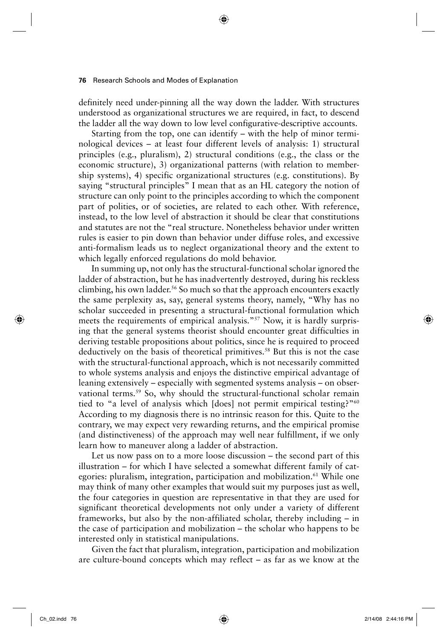definitely need under-pinning all the way down the ladder. With structures understood as organizational structures we are required, in fact, to descend the ladder all the way down to low level configurative-descriptive accounts.

⊕

Starting from the top, one can identify – with the help of minor terminological devices – at least four different levels of analysis: 1) structural principles (e.g., pluralism), 2) structural conditions (e.g., the class or the economic structure), 3) organizational patterns (with relation to membership systems), 4) specific organizational structures (e.g. constitutions). By saying "structural principles" I mean that as an HL category the notion of structure can only point to the principles according to which the component part of polities, or of societies, are related to each other. With reference, instead, to the low level of abstraction it should be clear that constitutions and statutes are not the "real structure. Nonetheless behavior under written rules is easier to pin down than behavior under diffuse roles, and excessive anti-formalism leads us to neglect organizational theory and the extent to which legally enforced regulations do mold behavior.

In summing up, not only has the structural-functional scholar ignored the ladder of abstraction, but he has inadvertently destroyed, during his reckless climbing, his own ladder.<sup>56</sup> So much so that the approach encounters exactly the same perplexity as, say, general systems theory, namely, "Why has no scholar succeeded in presenting a structural-functional formulation which meets the requirements of empirical analysis."<sup>57</sup> Now, it is hardly surprising that the general systems theorist should encounter great difficulties in deriving testable propositions about politics, since he is required to proceed deductively on the basis of theoretical primitives. 58 But this is not the case with the structural-functional approach, which is not necessarily committed to whole systems analysis and enjoys the distinctive empirical advantage of leaning extensively – especially with segmented systems analysis – on observational terms.<sup>59</sup> So, why should the structural-functional scholar remain tied to "a level of analysis which [does] not permit empirical testing?"<sup>60</sup> According to my diagnosis there is no intrinsic reason for this. Quite to the contrary, we may expect very rewarding returns, and the empirical promise (and distinctiveness) of the approach may well near fulfillment, if we only learn how to maneuver along a ladder of abstraction.

Let us now pass on to a more loose discussion – the second part of this illustration – for which I have selected a somewhat different family of categories: pluralism, integration, participation and mobilization. 61 While one may think of many other examples that would suit my purposes just as well, the four categories in question are representative in that they are used for significant theoretical developments not only under a variety of different frameworks, but also by the non-affiliated scholar, thereby including – in the case of participation and mobilization – the scholar who happens to be interested only in statistical manipulations.

Given the fact that pluralism, integration, participation and mobilization are culture-bound concepts which may reflect – as far as we know at the

↔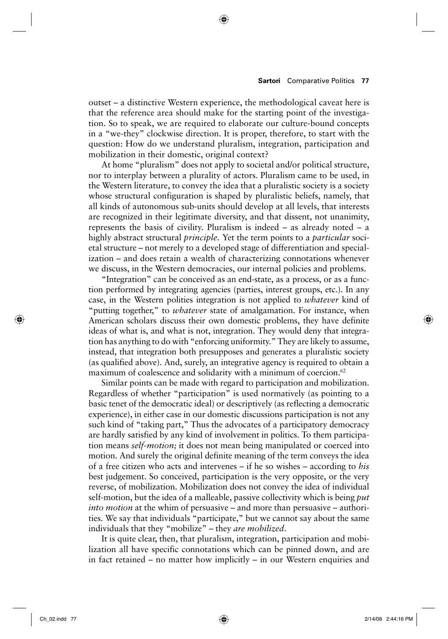outset – a distinctive Western experience, the methodological caveat here is that the reference area should make for the starting point of the investigation. So to speak, we are required to elaborate our culture-bound concepts in a "we-they" clockwise direction. It is proper, therefore, to start with the question: How do we understand pluralism, integration, participation and mobilization in their domestic, original context?

⊕

At home "pluralism" does not apply to societal and/or political structure, nor to interplay between a plurality of actors. Pluralism came to be used, in the Western literature, to convey the idea that a pluralistic society is a society whose structural configuration is shaped by pluralistic beliefs, namely, that all kinds of autonomous sub-units should develop at all levels, that interests are recognized in their legitimate diversity, and that dissent, not unanimity, represents the basis of civility. Pluralism is indeed – as already noted – a highly abstract structural *principle.* Yet the term points to a *particular* societal structure – not merely to a developed stage of differentiation and specialization – and does retain a wealth of characterizing connotations whenever we discuss, in the Western democracies, our internal policies and problems.

"Integration" can be conceived as an end-state, as a process, or as a function performed by integrating agencies (parties, interest groups, etc.). In any case, in the Western polities integration is not applied to *whatever* kind of "putting together," to *whatever* state of amalgamation. For instance, when American scholars discuss their own domestic problems, they have definite ideas of what is, and what is not, integration. They would deny that integration has anything to do with "enforcing uniformity." They are likely to assume, instead, that integration both presupposes and generates a pluralistic society (as qualified above). And, surely, an integrative agency is required to obtain a maximum of coalescence and solidarity with a minimum of coercion.<sup>62</sup>

Similar points can be made with regard to participation and mobilization. Regardless of whether "participation" is used normatively (as pointing to a basic tenet of the democratic ideal) or descriptively (as reflecting a democratic experience), in either case in our domestic discussions participation is not any such kind of "taking part," Thus the advocates of a participatory democracy are hardly satisfied by any kind of involvement in politics. To them participation means *self-motion;* it does not mean being manipulated or coerced into motion. And surely the original definite meaning of the term conveys the idea of a free citizen who acts and intervenes – if he so wishes – according to *his* best judgement. So conceived, participation is the very opposite, or the very reverse, of mobilization. Mobilization does not convey the idea of individual self-motion, but the idea of a malleable, passive collectivity which is being *put into motion* at the whim of persuasive – and more than persuasive – authorities. We say that individuals "participate," but we cannot say about the same individuals that they "mobilize" – they *are mobilized.*

It is quite clear, then, that pluralism, integration, participation and mobilization all have specific connotations which can be pinned down, and are in fact retained – no matter how implicitly – in our Western enquiries and

↔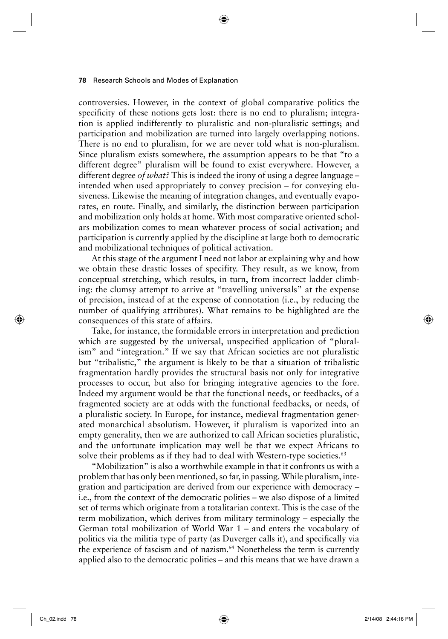controversies. However, in the context of global comparative politics the specificity of these notions gets lost: there is no end to pluralism; integration is applied indifferently to pluralistic and non-pluralistic settings; and participation and mobilization are turned into largely overlapping notions. There is no end to pluralism, for we are never told what is non-pluralism. Since pluralism exists somewhere, the assumption appears to be that "to a different degree" pluralism will be found to exist everywhere. However, a different degree *of what?* This is indeed the irony of using a degree language – intended when used appropriately to convey precision – for conveying elusiveness. Likewise the meaning of integration changes, and eventually evaporates, en route. Finally, and similarly, the distinction between participation and mobilization only holds at home. With most comparative oriented scholars mobilization comes to mean whatever process of social activation; and participation is currently applied by the discipline at large both to democratic and mobilizational techniques of political activation.

⊕

At this stage of the argument I need not labor at explaining why and how we obtain these drastic losses of specifity. They result, as we know, from conceptual stretching, which results, in turn, from incorrect ladder climbing: the clumsy attempt to arrive at "travelling universals" at the expense of precision, instead of at the expense of connotation (i.e., by reducing the number of qualifying attributes). What remains to be highlighted are the consequences of this state of affairs.

Take, for instance, the formidable errors in interpretation and prediction which are suggested by the universal, unspecified application of "pluralism" and "integration." If we say that African societies are not pluralistic but "tribalistic," the argument is likely to be that a situation of tribalistic fragmentation hardly provides the structural basis not only for integrative processes to occur, but also for bringing integrative agencies to the fore. Indeed my argument would be that the functional needs, or feedbacks, of a fragmented society are at odds with the functional feedbacks, or needs, of a pluralistic society. In Europe, for instance, medieval fragmentation generated monarchical absolutism. However, if pluralism is vaporized into an empty generality, then we are authorized to call African societies pluralistic, and the unfortunate implication may well be that we expect Africans to solve their problems as if they had to deal with Western-type societies.<sup>63</sup>

"Mobilization" is also a worthwhile example in that it confronts us with a problem that has only been mentioned, so far, in passing. While pluralism, integration and participation are derived from our experience with democracy – i.e., from the context of the democratic polities – we also dispose of a limited set of terms which originate from a totalitarian context. This is the case of the term mobilization, which derives from military terminology – especially the German total mobilization of World War 1 – and enters the vocabulary of politics via the militia type of party (as Duverger calls it), and specifically via the experience of fascism and of nazism. 64 Nonetheless the term is currently applied also to the democratic polities – and this means that we have drawn a

↔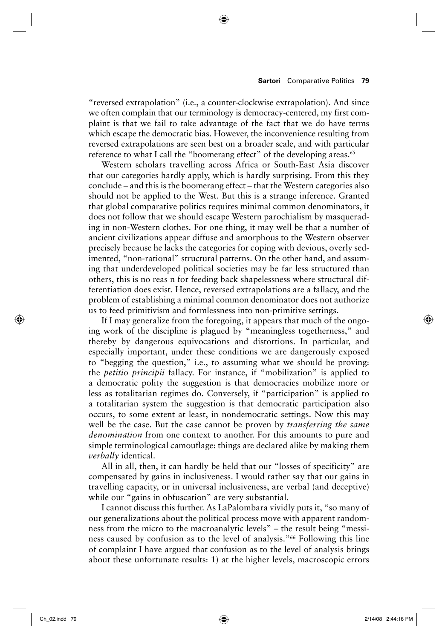#### **Sartori** Comparative Politics **79**

"reversed extrapolation" (i.e., a counter-clockwise extrapolation). And since we often complain that our terminology is democracy-centered, my first complaint is that we fail to take advantage of the fact that we do have terms which escape the democratic bias. However, the inconvenience resulting from reversed extrapolations are seen best on a broader scale, and with particular reference to what I call the "boomerang effect" of the developing areas.<sup>65</sup>

⊕

Western scholars travelling across Africa or South-East Asia discover that our categories hardly apply, which is hardly surprising. From this they conclude – and this is the boomerang effect – that the Western categories also should not be applied to the West. But this is a strange inference. Granted that global comparative politics requires minimal common denominators, it does not follow that we should escape Western parochialism by masquerading in non-Western clothes. For one thing, it may well be that a number of ancient civilizations appear diffuse and amorphous to the Western observer precisely because he lacks the categories for coping with devious, overly sedimented, "non-rational" structural patterns. On the other hand, and assuming that underdeveloped political societies may be far less structured than others, this is no reas n for feeding back shapelessness where structural differentiation does exist. Hence, reversed extrapolations are a fallacy, and the problem of establishing a minimal common denominator does not authorize us to feed primitivism and formlessness into non-primitive settings.

If I may generalize from the foregoing, it appears that much of the ongoing work of the discipline is plagued by "meaningless togetherness," and thereby by dangerous equivocations and distortions. In particular, and especially important, under these conditions we are dangerously exposed to "begging the question," i.e., to assuming what we should be proving: the *petitio principii* fallacy. For instance, if "mobilization" is applied to a democratic polity the suggestion is that democracies mobilize more or less as totalitarian regimes do. Conversely, if "participation" is applied to a totalitarian system the suggestion is that democratic participation also occurs, to some extent at least, in nondemocratic settings. Now this may well be the case. But the case cannot be proven by *transferring the same denomination* from one context to another. For this amounts to pure and simple terminological camouflage: things are declared alike by making them *verbally* identical.

All in all, then, it can hardly be held that our "losses of specificity" are compensated by gains in inclusiveness. I would rather say that our gains in travelling capacity, or in universal inclusiveness, are verbal (and deceptive) while our "gains in obfuscation" are very substantial.

I cannot discuss this further. As LaPalombara vividly puts it, "so many of our generalizations about the political process move with apparent randomness from the micro to the macroanalytic levels" – the result being "messiness caused by confusion as to the level of analysis." 66 Following this line of complaint I have argued that confusion as to the level of analysis brings about these unfortunate results: 1) at the higher levels, macroscopic errors

↔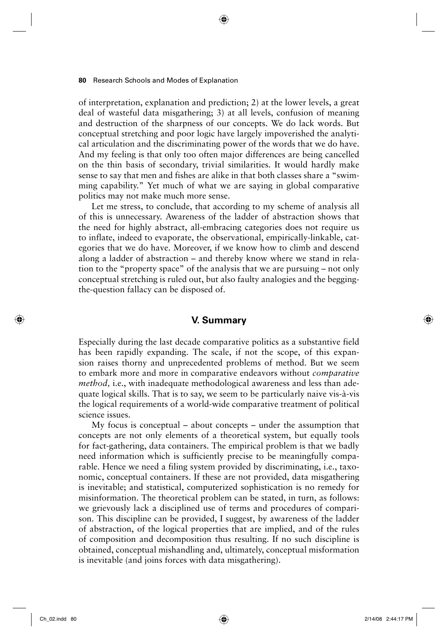of interpretation, explanation and prediction; 2) at the lower levels, a great deal of wasteful data misgathering; 3) at all levels, confusion of meaning and destruction of the sharpness of our concepts. We do lack words. But conceptual stretching and poor logic have largely impoverished the analytical articulation and the discriminating power of the words that we do have. And my feeling is that only too often major differences are being cancelled on the thin basis of secondary, trivial similarities. It would hardly make sense to say that men and fishes are alike in that both classes share a "swimming capability." Yet much of what we are saying in global comparative politics may not make much more sense.

⊕

Let me stress, to conclude, that according to my scheme of analysis all of this is unnecessary. Awareness of the ladder of abstraction shows that the need for highly abstract, all-embracing categories does not require us to inflate, indeed to evaporate, the observational, empirically-linkable, categories that we do have. Moreover, if we know how to climb and descend along a ladder of abstraction – and thereby know where we stand in relation to the "property space" of the analysis that we are pursuing – not only conceptual stretching is ruled out, but also faulty analogies and the beggingthe- question fallacy can be disposed of.

# **V. Summary**

Especially during the last decade comparative politics as a substantive field has been rapidly expanding. The scale, if not the scope, of this expansion raises thorny and unprecedented problems of method. But we seem to embark more and more in comparative endeavors without *comparative method,* i.e., with inadequate methodological awareness and less than adequate logical skills. That is to say, we seem to be particularly naive vis-à-vis the logical requirements of a world-wide comparative treatment of political science issues.

My focus is conceptual – about concepts – under the assumption that concepts are not only elements of a theoretical system, but equally tools for fact-gathering, data containers. The empirical problem is that we badly need information which is sufficiently precise to be meaningfully comparable. Hence we need a filing system provided by discriminating, i.e., taxonomic, conceptual containers. If these are not provided, data misgathering is inevitable; and statistical, computerized sophistication is no remedy for misinformation. The theoretical problem can be stated, in turn, as follows: we grievously lack a disciplined use of terms and procedures of comparison. This discipline can be provided, I suggest, by awareness of the ladder of abstraction, of the logical properties that are implied, and of the rules of composition and decomposition thus resulting. If no such discipline is obtained, conceptual mishandling and, ultimately, conceptual misformation is inevitable (and joins forces with data misgathering).

↔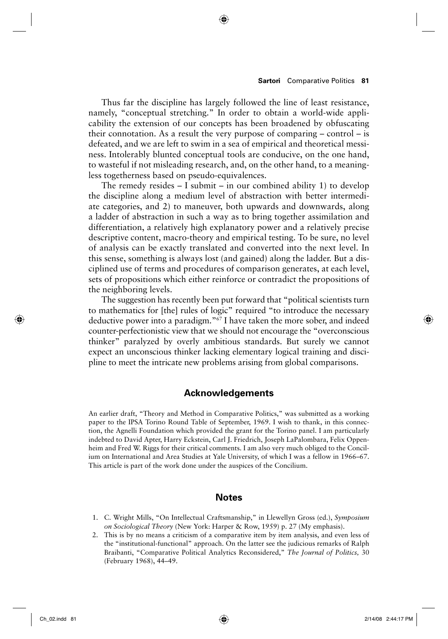Thus far the discipline has largely followed the line of least resistance, namely, "conceptual stretching." In order to obtain a world-wide applicability the extension of our concepts has been broadened by obfuscating their connotation. As a result the very purpose of comparing – control – is defeated, and we are left to swim in a sea of empirical and theoretical messiness. Intolerably blunted conceptual tools are conducive, on the one hand, to wasteful if not misleading research, and, on the other hand, to a meaningless togetherness based on pseudo-equivalences.

The remedy resides  $-1$  submit – in our combined ability 1) to develop the discipline along a medium level of abstraction with better intermediate categories, and 2) to maneuver, both upwards and downwards, along a ladder of abstraction in such a way as to bring together assimilation and differentiation, a relatively high explanatory power and a relatively precise descriptive content, macro-theory and empirical testing. To be sure, no level of analysis can be exactly translated and converted into the next level. In this sense, something is always lost (and gained) along the ladder. But a disciplined use of terms and procedures of comparison generates, at each level, sets of propositions which either reinforce or contradict the propositions of the neighboring levels.

The suggestion has recently been put forward that "political scientists turn to mathematics for [the] rules of logic" required "to introduce the necessary deductive power into a paradigm." 67 I have taken the more sober, and indeed counter-perfectionistic view that we should not encourage the "overconscious thinker" paralyzed by overly ambitious standards. But surely we cannot expect an unconscious thinker lacking elementary logical training and discipline to meet the intricate new problems arising from global comparisons.

# **Acknowledgements**

An earlier draft, "Theory and Method in Comparative Politics," was submitted as a working paper to the IPSA Torino Round Table of September, 1969. I wish to thank, in this connection, the Agnelli Foundation which provided the grant for the Torino panel. I am particularly indebted to David Apter, Harry Eckstein, Carl J. Friedrich, Joseph LaPalombara, Felix Oppenheim and Fred W. Riggs for their critical comments. I am also very much obliged to the Concilium on International and Area Studies at Yale University, of which I was a fellow in 1966–67. This article is part of the work done under the auspices of the Concilium.

## **Notes**

- 1. C. Wright Mills, "On Intellectual Craftsmanship," in Llewellyn Gross (ed.), *Symposium on Sociological Theory* (New York: Harper & Row, 1959) p. 27 (My emphasis).
- 2. This is by no means a criticism of a comparative item by item analysis, and even less of the "institutional-functional" approach. On the latter see the judicious remarks of Ralph Braibanti, "Comparative Political Analytics Reconsidered," *The Journal of Politics,* 30 (February 1968), 44–49.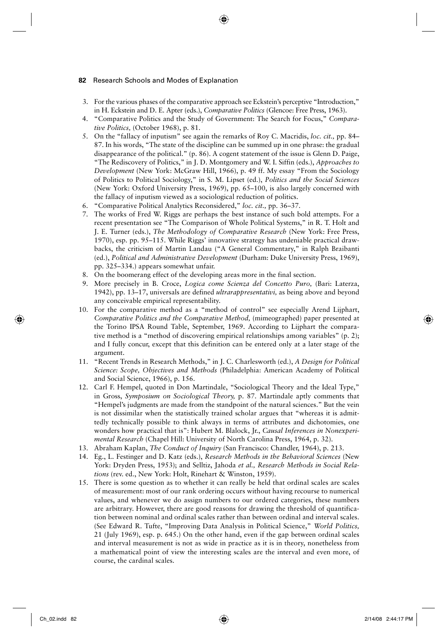- 3. For the various phases of the comparative approach see Eckstein's perceptive "Introduction," in H. Eckstein and D. E. Apter (eds.), *Comparative Politics* (Glencoe: Free Press, 1963).
- 4. "Comparative Politics and the Study of Government: The Search for Focus," *Comparative Politics,* (October 1968), p. 81.
- 5. On the "fallacy of inputism" see again the remarks of Roy C. Macridis, *loc. cit.,* pp. 84– 87. In his words, "The state of the discipline can be summed up in one phrase: the gradual disappearance of the political." (p. 86). A cogent statement of the issue is Glenn D. Paige, "The Rediscovery of Politics," in J. D. Montgomery and W. I. Siffin (eds.), *Approaches to Development* (New York: McGraw Hill, 1966), p. 49 ff. My essay "From the Sociology of Politics to Political Sociology," in S. M. Lipset (ed.), *Politics and the Social Sciences* (New York: Oxford University Press, 1969), pp. 65–100, is also largely concerned with the fallacy of inputism viewed as a sociological reduction of politics.
- 6. "Comparative Political Analytics Reconsidered," *loc. cit.,* pp. 36–37.
- 7. The works of Fred W. Riggs are perhaps the best instance of such bold attempts. For a recent presentation see "The Comparison of Whole Political Systems," in R. T. Holt and J. E. Turner (eds.), *The Methodology of Comparative Research* (New York: Free Press, 1970), esp. pp. 95–115. While Riggs' innovative strategy has undeniable practical drawbacks, the criticism of Martin Landau ("A General Commentary," in Ralph Braibanti (ed.), *Political and Administrative Development* (Durham: Duke University Press, 1969), pp. 325–334.) appears somewhat unfair.
- 8. On the boomerang effect of the developing areas more in the final section.
- 9. More precisely in B. Croce, *Logica come Scienza del Concetto Puro,* (Bari: Laterza, 1942), pp. 13–17, universals are defined *ultrarappresentativi,* as being above and beyond any conceivable empirical representability.
- 10. For the comparative method as a "method of control" see especially Arend Lijphart, *Comparative Politics and the Comparative Method,* (mimeographed) paper presented at the Torino IPSA Round Table, September, 1969. According to Lijphart the comparative method is a "method of discovering empirical relationships among variables" (p. 2); and I fully concur, except that this definition can be entered only at a later stage of the argument.
- 11. "Recent Trends in Research Methods," in J. C. Charlesworth (ed.), *A Design for Political Science: Scope, Objectives and Methods* (Philadelphia: American Academy of Political and Social Science, 1966), p. 156.
- 12. Carl F. Hempel, quoted in Don Martindale, "Sociological Theory and the Ideal Type," in Gross, *Symposium on Sociological Theory,* p. 87. Martindale aptly comments that "Hempel's judgments are made from the standpoint of the natural sciences." But the vein is not dissimilar when the statistically trained scholar argues that "whereas it is admittedly technically possible to think always in terms of attributes and dichotomies, one wonders how practical that is": Hubert M. Blalock, Jr., *Causal Inferences in Nonexperimental Research* (Chapel Hill: University of North Carolina Press, 1964, p. 32).
- 13. Abraham Kaplan, *The Conduct of Inquiry* (San Francisco: Chandler, 1964), p. 213.
- 14. Eg., L. Festinger and D. Katz (eds.), *Research Methods in the Behavioral Sciences* (New York: Dryden Press, 1953); and Selltiz, Jahoda *et al., Research Methods in Social Relations* (rev. ed., New York: Holt, Rinehart & Winston, 1959).
- 15. There is some question as to whether it can really be held that ordinal scales are scales of measurement: most of our rank ordering occurs without having recourse to numerical values, and whenever we do assign numbers to our ordered categories, these numbers are arbitrary. However, there are good reasons for drawing the threshold of quantification between nominal and ordinal scales rather than between ordinal and interval scales. (See Edward R. Tufte, "Improving Data Analysis in Political Science," *World Politics,* 21 (July 1969), esp. p. 645.) On the other hand, even if the gap between ordinal scales and interval measurement is not as wide in practice as it is in theory, nonetheless from a mathematical point of view the interesting scales are the interval and even more, of course, the cardinal scales.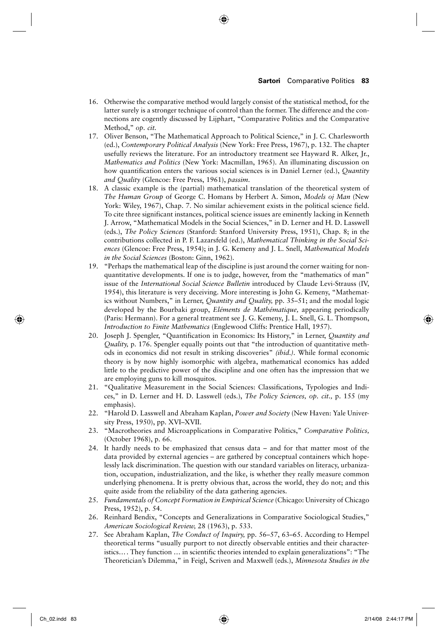#### **Sartori** Comparative Politics **83**

- 16. Otherwise the comparative method would largely consist of the statistical method, for the latter surely is a stronger technique of control than the former. The difference and the connections are cogently discussed by Lijphart, "Comparative Politics and the Comparative Method," *op. cit.*
- 17. Oliver Benson, "The Mathematical Approach to Political Science," in J. C. Charlesworth (ed.), *Contemporary Political Analysis* (New York: Free Press, 1967), p. 132. The chapter usefully reviews the literature. For an introductory treatment see Hayward R. Alker, Jr., *Mathematics and Politics* (New York: Macmillan, 1965). An illuminating discussion on how quantification enters the various social sciences is in Daniel Lerner (ed.), *Quantity and Quality* (Glencoe: Free Press, 1961), *passim.*
- 18. A classic example is the (partial) mathematical translation of the theoretical system of *The Human Group* of George C. Homans by Herbert A. Simon, *Models oj Man* (New York: Wiley, 1967), Chap. 7. No similar achievement exists in the political science field. To cite three significant instances, political science issues are eminently lacking in Kenneth J. Arrow, "Mathematical Models in the Social Sciences," in D. Lerner and H. D. Lasswell (eds.), *The Policy Sciences* (Stanford: Stanford University Press, 1951), Chap. 8; in the contributions collected in P. F. Lazarsfeld (ed.), *Mathematical Thinking in the Social Sciences* (Glencoe: Free Press, 1954); in J. G. Kemeny and J. L. Snell, *Mathematical Models in the Social Sciences* (Boston: Ginn, 1962).
- 19. "Perhaps the mathematical leap of the discipline is just around the corner waiting for nonquantitative developments. If one is to judge, however, from the "mathematics of man" issue of the *International Social Science Bulletin* introduced by Claude Levi-Strauss (IV, 1954), this literature is very deceiving. More interesting is John G. Kemeny, "Mathematics without Numbers," in Lerner, *Quantity and Quality,* pp. 35–51; and the modal logic developed by the Bourbaki group, *Eléments de Mathématique,* appearing periodically (Paris: Hermann). For a general treatment see J. G. Kemeny, J. L. Snell, G. L. Thompson, *Introduction to Finite Mathematics* (Englewood Cliffs: Prentice Hall, 1957).
- 20. Joseph J. Spengler, "Quantification in Economics: Its History," in Lerner, *Quantity and Quality,* p. 176. Spengler equally points out that "the introduction of quantitative methods in economics did not result in striking discoveries" *(ibid.).* While formal economic theory is by now highly isomorphic with algebra, mathematical economics has added little to the predictive power of the discipline and one often has the impression that we are employing guns to kill mosquitos.
- 21. "Qualitative Measurement in the Social Sciences: Classifications, Typologies and Indices," in D. Lerner and H. D. Lasswell (eds.), *The Policy Sciences, op. cit.,* p. 155 (my emphasis).
- 22. "Harold D. Lasswell and Abraham Kaplan, *Power and Society* (New Haven: Yale University Press, 1950), pp. XVI–XVII.
- 23. "Macrotheories and Microapplications in Comparative Politics," *Comparative Politics,* (October 1968), p. 66.
- 24. It hardly needs to be emphasized that census data and for that matter most of the data provided by external agencies – are gathered by conceptual containers which hopelessly lack discrimination. The question with our standard variables on literacy, urbanization, occupation, industrialization, and the like, is whether they really measure common underlying phenomena. It is pretty obvious that, across the world, they do not; and this quite aside from the reliability of the data gathering agencies.
- 25. *Fundamentals of Concept Formation in Empirical Science* (Chicago: University of Chicago Press, 1952), p. 54.
- 26. Reinhard Bendix, "Concepts and Generalizations in Comparative Sociological Studies," *American Sociological Review,* 28 (1963), p. 533.
- 27. See Abraham Kaplan, *The Conduct of Inquiry,* pp. 56–57, 63–65. According to Hempel theoretical terms "usually purport to not directly observable entities and their characteristics… . They function … in scientific theories intended to explain generalizations": "The Theoretician's Dilemma," in Feigl, Scriven and Maxwell (eds.), *Minnesota Studies in the*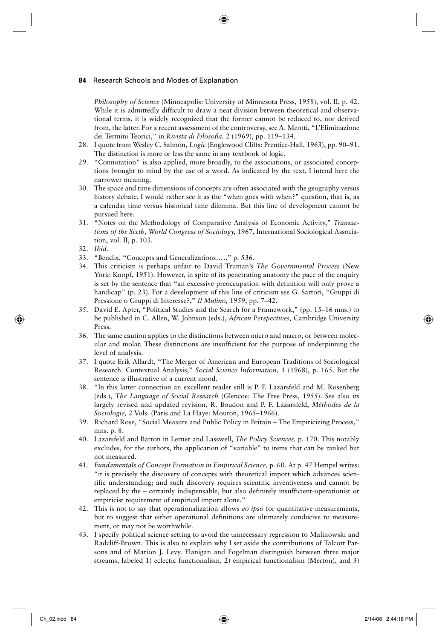*Philosophy of Science* (Minneapolis: University of Minnesota Press, 1958), vol. II, p. 42. While it is admittedly difficult to draw a neat division between theoretical and observational terms, it is widely recognized that the former cannot be reduced to, nor derived from, the latter. For a recent assessment of the controversy, see A. Meotti, "L'Eliminazione dei Termini Teorici," in *Rivista di Filosofia*, 2 (1969), pp. 119-134.

- 28. I quote from Wesley C. Salmon, *Logic* (Englewood Cliffs: Prentice-Hall, 1963), pp. 90–91. The distinction is more or less the same in any textbook of logic.
- 29. "Connotation" is also applied, more broadly, to the associations, or associated conceptions brought to mind by the use of a word. As indicated by the text, I intend here the narrower meaning.
- 30. The space and time dimensions of concepts are often associated with the geography versus history debate. I would rather see it as the "when goes with when?" question, that is, as a calendar time versus historical time dilemma. But this line of development cannot be pursued here.
- 31. "Notes on the Methodology of Comparative Analysis of Economic Activity," *Transactions of the Sixth, World Congress of Sociology,* 1967, International Sociological Association, vol. II, p. 103.
- 32. *Ibid.*
- 33. "Bendix, "Concepts and Generalizations… .," p. 536.
- 34. This criticism is perhaps unfair to David Truman's *The Governmental Process* (New York: Knopf, 1951). However, in spite of its penetrating anatomy the pace of the enquiry is set by the sentence that "an excessive preoccupation with definition will only prove a handicap" (p. 23). For a development of this line of criticism see G. Sartori, "Gruppi di Pressione o Gruppi di Interesse?," *Il Mulino,* 1959, pp. 7–42.
- 35. David E. Apter, "Political Studies and the Search for a Framework," (pp. 15–16 mns.) to be published in C. Allen, W. Johnson (eds.), *African Perspectives,* Cambridge University Press.
- 36. The same caution applies to the distinctions between micro and macro, or between molecular and molar. These distinctions are insufficient for the purpose of underpinning the level of analysis.
- 37. I quote Erik Allardt, "The Merger of American and European Traditions of Sociological Research: Contextual Analysis," *Social Science Information,* 1 (1968), p. 165. But the sentence is illustrative of a current mood.
- 38. "In this latter connection an excellent reader still is P. F. Lazarsfeld and M. Rosenberg (eds.), *The Language of Social Research* (Glencoe: The Free Press, 1955). See also its largely revised and updated revision, R. Boudon and P. F. Lazarsfeld, *Méthodes de la Sociologie, 2* Vols. (Paris and La Haye: Mouton, 1965–1966).
- 39. Richard Rose, "Social Measure and Public Policy in Britain The Empiricizing Process," mns. p. 8.
- 40. Lazarsfeld and Barton in Lerner and Lasswell, *The Policy Sciences,* p. 170. This notably excludes, for the authors, the application of "variable" to items that can be ranked but not measured.
- 41. *Fundamentals of Concept Formation in Empirical Science,* p. 60. At p. 47 Hempel writes: "it is precisely the discovery of concepts with theoretical import which advances scientific understanding; and such discovery requires scientific inventiveness and cannot be replaced by the – certainly indispensable, but also definitely insufficient-operationist or empiricist requirement of empirical import alone."
- 42. This is not to say that operationalization allows *eo ipso* for quantitative measurements, but to suggest that either operational definitions are ultimately conducive to measurement, or may not be worthwhile.
- 43. I specify political science setting to avoid the unnecessary regression to Malinowski and Radcliff-Brown. This is also to explain why I set aside the contributions of Talcott Parsons and of Marion J. Levy. Flanigan and Fogelman distinguish between three major streams, labeled 1) eclectic functionalism, 2) empirical functionalism (Merton), and 3)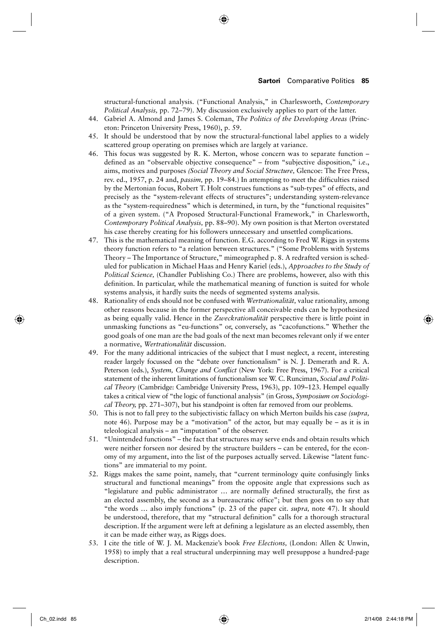structural-functional analysis. ("Functional Analysis," in Charlesworth, *Contemporary Political Analysis,* pp. 72–79). My discussion exclusively applies to part of the latter.

- 44. Gabriel A. Almond and James S. Coleman, *The Politics of the Developing Areas* (Princeton: Princeton University Press, 1960), p. 59.
- 45. It should be understood that by now the structural-functional label applies to a widely scattered group operating on premises which are largely at variance.
- 46. This focus was suggested by R. K. Merton, whose concern was to separate function defined as an "observable objective consequence" – from "subjective disposition," i.e., aims, motives and purposes *(Social Theory and Social Structure,* Glencoe: The Free Press, rev. ed., 1957, p. 24 and, *passim,* pp. 19–84.) In attempting to meet the difficulties raised by the Mertonian focus, Robert T. Holt construes functions as "sub-types" of effects, and precisely as the "system-relevant effects of structures"; understanding system-relevance as the "system-requiredness" which is determined, in turn, by the "functional requisites" of a given system. ("A Proposed Structural-Functional Framework," in Charlesworth, *Contemporary Political Analysis,* pp. 88–90). My own position is that Merton overstated his case thereby creating for his followers unnecessary and unsettled complications.
- 47. This is the mathematical meaning of function. E.G. according to Fred W. Riggs in systems theory function refers to "a relation between structures." ("Some Problems with Systems Theory – The Importance of Structure," mimeographed p. 8. A redrafted version is scheduled for publication in Michael Haas and Henry Kariel (eds.), *Approaches to the Study of Political Science,* (Chandler Publishing Co.) There are problems, however, also with this definition. In particular, while the mathematical meaning of function is suited for whole systems analysis, it hardly suits the needs of segmented systems analysis.
- 48. Rationality of ends should not be confused with *Wertrationalität,* value rationality, among other reasons because in the former perspective all conceivable ends can be hypothesized as being equally valid. Hence in the *Zweckrationalität* perspective there is little point in unmasking functions as "eu-functions" or, conversely, as "cacofunctions." Whether the good goals of one man are the bad goals of the next man becomes relevant only if we enter a normative, *Wertrationalität* discussion.
- 49. For the many additional intricacies of the subject that I must neglect, a recent, interesting reader largely focussed on the "debate over functionalism" is N. J. Demerath and R. A. Peterson (eds.), *System, Change and Conflict* (New York: Free Press, 1967). For a critical statement of the inherent limitations of functionalism see W. C. Runciman, *Social and Political Theory* (Cambridge: Cambridge University Press, 1963), pp. 109–123. Hempel equally takes a critical view of "the logic of functional analysis" (in Gross, *Symposium on Sociological Theory,* pp. 271–307), but his standpoint is often far removed from our problems.
- 50. This is not to fall prey to the subjectivistic fallacy on which Merton builds his case *(supra,* note 46). Purpose may be a "motivation" of the actor, but may equally be – as it is in teleological analysis – an "imputation" of the observer.
- 51. "Unintended functions" the fact that structures may serve ends and obtain results which were neither forseen nor desired by the structure builders – can be entered, for the economy of my argument, into the list of the purposes actually served. Likewise "latent functions" are immaterial to my point.
- 52. Riggs makes the same point, namely, that "current terminology quite confusingly links structural and functional meanings" from the opposite angle that expressions such as "legislature and public administrator … are normally defined structurally, the first as an elected assembly, the second as a bureaucratic office"; but then goes on to say that "the words … also imply functions" (p. 23 of the paper cit. *supra,* note 47). It should be understood, therefore, that my "structural definition" calls for a thorough structural description. If the argument were left at defining a legislature as an elected assembly, then it can be made either way, as Riggs does.
- 53. I cite the title of W. J. M. Mackenzie's book *Free Elections,* (London: Allen & Unwin, 1958) to imply that a real structural underpinning may well presuppose a hundred-page description.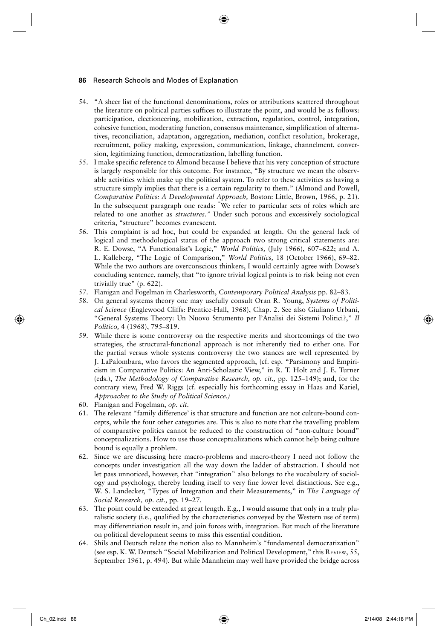- 54. "A sheer list of the functional denominations, roles or attributions scattered throughout the literature on political parties suffices to illustrate the point, and would be as follows: participation, electioneering, mobilization, extraction, regulation, control, integration, cohesive function, moderating function, consensus maintenance, simplification of alternatives, reconciliation, adaptation, aggregation, mediation, conflict resolution, brokerage, recruitment, policy making, expression, communication, linkage, channelment, conversion, legitimizing function, democratization, labelling function.
- 55. I make specific reference to Almond because I believe that his very conception of structure is largely responsible for this outcome. For instance, "By structure we mean the observable activities which make up the political system. To refer to these activities as having a structure simply implies that there is a certain regularity to them." (Almond and Powell, *Comparative Politics: A Developmental Approach,* Boston: Little, Brown, 1966, p. 21). In the subsequent paragraph one reads: " We refer to particular sets of roles which are related to one another as *structures."* Under such porous and excessively sociological criteria, "structure" becomes evanescent.
- 56. This complaint is ad hoc, but could be expanded at length. On the general lack of logical and methodological status of the approach two strong critical statements are: R. E. Dowse, "A Functionalist's Logic," *World Politics,* (July 1966), 607–622; and A. L. Kalleberg, "The Logic of Comparison," *World Politics,* 18 (October 1966), 69–82. While the two authors are overconscious thinkers, I would certainly agree with Dowse's concluding sentence, namely, that "to ignore trivial logical points is to risk being not even trivially true" (p. 622).
- 57. Flanigan and Fogelman in Charlesworth, *Contemporary Political Analysis* pp. 82–83.
- 58. On general systems theory one may usefully consult Oran R. Young, *Systems of Political Science* (Englewood Cliffs: Prentice-Hall, 1968), Chap. 2. See also Giuliano Urbani, "General Systems Theory: Un Nuovo Strumento per l'Analisi dei Sistemi Politici?," *Il Politico,* 4 (1968), 795–819.
- 59. While there is some controversy on the respective merits and shortcomings of the two strategies, the structural-functional approach is not inherently tied to either one. For the partial versus whole systems controversy the two stances are well represented by J. LaPalombara, who favors the segmented approach, (cf. esp. "Parsimony and Empiricism in Comparative Politics: An Anti-Scholastic View," in R. T. Holt and J. E. Turner (eds.), *The Methodology of Comparative Research, op. cit.,* pp. 125–149); and, for the contrary view, Fred W. Riggs (cf. especially his forthcoming essay in Haas and Kariel, *Approaches to the Study of Political Science.)*
- 60. Flanigan and Fogelman, *op. cit.*
- 61. The relevant "family difference' is that structure and function are not culture-bound concepts, while the four other categories are. This is also to note that the travelling problem of comparative politics cannot be reduced to the construction of "non-culture bound" conceptualizations. How to use those conceptualizations which cannot help being culture bound is equally a problem.
- 62. Since we are discussing here macro-problems and macro-theory I need not follow the concepts under investigation all the way down the ladder of abstraction. I should not let pass unnoticed, however, that "integration" also belongs to the vocabulary of sociology and psychology, thereby lending itself to very fine lower level distinctions. See e.g., W. S. Landecker, "Types of Integration and their Measurements," in *The Language of Social Research, op. cit.,* pp. 19–27.
- 63. The point could be extended at great length. E.g., I would assume that only in a truly pluralistic society (i.e., qualified by the characteristics conveyed by the Western use of term) may differentiation result in, and join forces with, integration. But much of the literature on political development seems to miss this essential condition.
- 64. Shils and Deutsch relate the notion also to Mannheim's "fundamental democratization" (see esp. K. W. Deutsch "Social Mobilization and Political Development," this REVIEW, 55, September 1961, p. 494). But while Mannheim may well have provided the bridge across